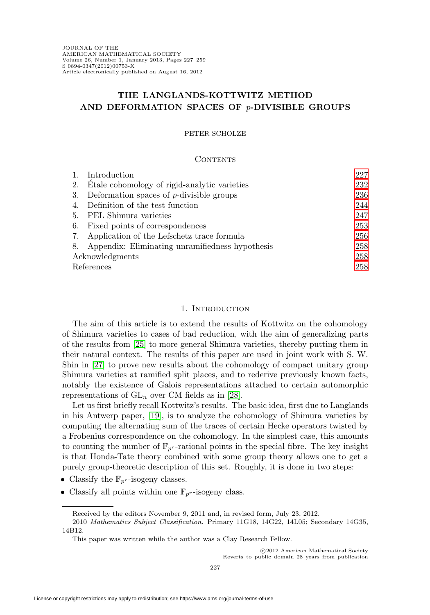# **THE LANGLANDS-KOTTWITZ METHOD AND DEFORMATION SPACES OF** p**-DIVISIBLE GROUPS**

## PETER SCHOLZE

### CONTENTS

|                 | Introduction                                       | 227 |
|-----------------|----------------------------------------------------|-----|
| 2.              | Etale cohomology of rigid-analytic varieties       | 232 |
| 3.              | Deformation spaces of $p$ -divisible groups        | 236 |
| 4.              | Definition of the test function                    | 244 |
| 5.              | PEL Shimura varieties                              | 247 |
|                 | 6. Fixed points of correspondences                 | 253 |
| 7.              | Application of the Lefschetz trace formula         | 256 |
|                 | 8. Appendix: Eliminating unramifiedness hypothesis | 258 |
| Acknowledgments |                                                    | 258 |
| References      |                                                    | 258 |

## 1. INTRODUCTION

<span id="page-0-0"></span>The aim of this article is to extend the results of Kottwitz on the cohomology of Shimura varieties to cases of bad reduction, with the aim of generalizing parts of the results from [\[25\]](#page-32-0) to more general Shimura varieties, thereby putting them in their natural context. The results of this paper are used in joint work with S. W. Shin in [\[27\]](#page-32-1) to prove new results about the cohomology of compact unitary group Shimura varieties at ramified split places, and to rederive previously known facts, notably the existence of Galois representations attached to certain automorphic representations of  $GL_n$  over CM fields as in [\[28\]](#page-32-2).

Let us first briefly recall Kottwitz's results. The basic idea, first due to Langlands in his Antwerp paper, [\[19\]](#page-32-3), is to analyze the cohomology of Shimura varieties by computing the alternating sum of the traces of certain Hecke operators twisted by a Frobenius correspondence on the cohomology. In the simplest case, this amounts to counting the number of  $\mathbb{F}_{p^r}$ -rational points in the special fibre. The key insight is that Honda-Tate theory combined with some group theory allows one to get a purely group-theoretic description of this set. Roughly, it is done in two steps:

- Classify the  $\mathbb{F}_{p^r}$ -isogeny classes.
- Classify all points within one  $\mathbb{F}_{p^r}$ -isogeny class.

Received by the editors November 9, 2011 and, in revised form, July 23, 2012.

<sup>2010</sup> Mathematics Subject Classification. Primary 11G18, 14G22, 14L05; Secondary 14G35, 14B12.

This paper was written while the author was a Clay Research Fellow.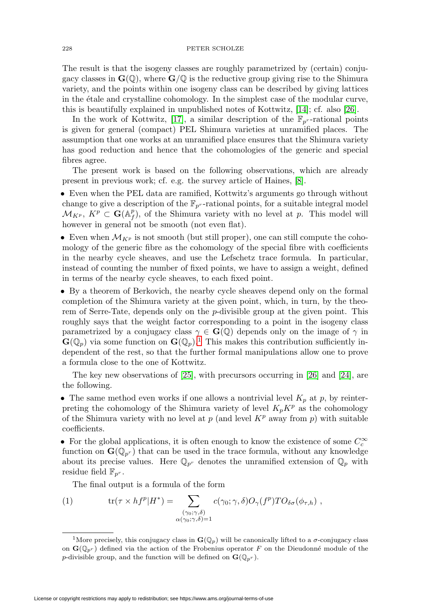The result is that the isogeny classes are roughly parametrized by (certain) conjugacy classes in  $\mathbf{G}(\mathbb{Q})$ , where  $\mathbf{G}/\mathbb{Q}$  is the reductive group giving rise to the Shimura variety, and the points within one isogeny class can be described by giving lattices in the étale and crystalline cohomology. In the simplest case of the modular curve, this is beautifully explained in unpublished notes of Kottwitz, [\[14\]](#page-32-4); cf. also [\[26\]](#page-32-5).

In the work of Kottwitz, [\[17\]](#page-32-6), a similar description of the  $\mathbb{F}_{p^r}$ -rational points is given for general (compact) PEL Shimura varieties at unramified places. The assumption that one works at an unramified place ensures that the Shimura variety has good reduction and hence that the cohomologies of the generic and special fibres agree.

The present work is based on the following observations, which are already present in previous work; cf. e.g. the survey article of Haines, [\[8\]](#page-31-3).

• Even when the PEL data are ramified, Kottwitz's arguments go through without change to give a description of the  $\mathbb{F}_{p^r}$ -rational points, for a suitable integral model  $\mathcal{M}_{K^p}, K^p \subset \mathbf{G}(\mathbb{A}_f^p)$ , of the Shimura variety with no level at p. This model will however in general not be smooth (not even flat).

• Even when  $\mathcal{M}_{K^p}$  is not smooth (but still proper), one can still compute the cohomology of the generic fibre as the cohomology of the special fibre with coefficients in the nearby cycle sheaves, and use the Lefschetz trace formula. In particular, instead of counting the number of fixed points, we have to assign a weight, defined in terms of the nearby cycle sheaves, to each fixed point.

• By a theorem of Berkovich, the nearby cycle sheaves depend only on the formal completion of the Shimura variety at the given point, which, in turn, by the theorem of Serre-Tate, depends only on the  $p$ -divisible group at the given point. This roughly says that the weight factor corresponding to a point in the isogeny class parametrized by a conjugacy class  $\gamma \in \mathbf{G}(\mathbb{Q})$  depends only on the image of  $\gamma$  in  $\mathbf{G}(\mathbb{Q}_p)$  via some function on  $\mathbf{G}(\mathbb{Q}_p)$ .<sup>[1](#page-1-0)</sup> This makes this contribution sufficiently independent of the rest, so that the further formal manipulations allow one to prove a formula close to the one of Kottwitz.

The key new observations of [\[25\]](#page-32-0), with precursors occurring in [\[26\]](#page-32-5) and [\[24\]](#page-32-7), are the following.

• The same method even works if one allows a nontrivial level  $K_p$  at p, by reinterpreting the cohomology of the Shimura variety of level  $K_pK^p$  as the cohomology of the Shimura variety with no level at p (and level  $K^p$  away from p) with suitable coefficients.

• For the global applications, it is often enough to know the existence of some  $C_c^{\infty}$ function on  $\mathbf{G}(\mathbb{Q}_{p^r})$  that can be used in the trace formula, without any knowledge about its precise values. Here  $\mathbb{Q}_{p^r}$  denotes the unramified extension of  $\mathbb{Q}_p$  with residue field  $\mathbb{F}_{p^r}$ .

The final output is a formula of the form

<span id="page-1-1"></span>(1) 
$$
\text{tr}(\tau \times h f^p | H^*) = \sum_{\substack{(\gamma_0; \gamma, \delta) \\ \alpha(\gamma_0; \gamma, \delta) = 1}} c(\gamma_0; \gamma, \delta) O_{\gamma}(f^p) T O_{\delta \sigma}(\phi_{\tau, h}),
$$

<span id="page-1-0"></span><sup>&</sup>lt;sup>1</sup>More precisely, this conjugacy class in  $\mathbf{G}(\mathbb{Q}_p)$  will be canonically lifted to a  $\sigma$ -conjugacy class on  $\mathbf{G}(\mathbb{Q}_p r)$  defined via the action of the Frobenius operator F on the Dieudonné module of the *p*-divisible group, and the function will be defined on  $\mathbf{G}(\mathbb{Q}_{p^r})$ .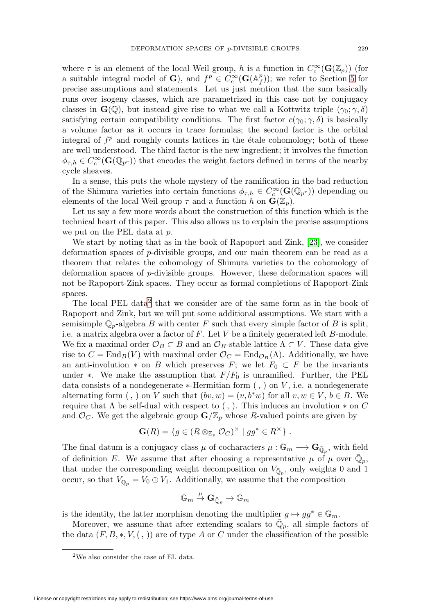where  $\tau$  is an element of the local Weil group, h is a function in  $C_c^{\infty}(\mathbf{G}(\mathbb{Z}_p))$  (for a suitable integral model of **G**), and  $f^p \in C_c^{\infty}(\mathbf{G}(\mathbb{A}_f^p));$  we refer to Section [5](#page-20-0) for precise assumptions and statements. Let us just mention that the sum basically runs over isogeny classes, which are parametrized in this case not by conjugacy classes in  $\mathbf{G}(\mathbb{Q})$ , but instead give rise to what we call a Kottwitz triple  $(\gamma_0; \gamma, \delta)$ satisfying certain compatibility conditions. The first factor  $c(\gamma_0; \gamma, \delta)$  is basically a volume factor as it occurs in trace formulas; the second factor is the orbital integral of  $f<sup>p</sup>$  and roughly counts lattices in the étale cohomology; both of these are well understood. The third factor is the new ingredient; it involves the function  $\phi_{\tau,h} \in C_c^{\infty}(\mathbf{G}(\mathbb{Q}_{p^r}))$  that encodes the weight factors defined in terms of the nearby cycle sheaves.

In a sense, this puts the whole mystery of the ramification in the bad reduction of the Shimura varieties into certain functions  $\phi_{\tau,h} \in C_c^{\infty}(\mathbf{G}(\mathbb{Q}_{p^r}))$  depending on elements of the local Weil group  $\tau$  and a function h on  $\mathbf{G}(\mathbb{Z}_p)$ .

Let us say a few more words about the construction of this function which is the technical heart of this paper. This also allows us to explain the precise assumptions we put on the PEL data at p.

We start by noting that as in the book of Rapoport and Zink, [\[23\]](#page-32-8), we consider deformation spaces of p-divisible groups, and our main theorem can be read as a theorem that relates the cohomology of Shimura varieties to the cohomology of deformation spaces of p-divisible groups. However, these deformation spaces will not be Rapoport-Zink spaces. They occur as formal completions of Rapoport-Zink spaces.

The local PEL data<sup>[2](#page-2-0)</sup> that we consider are of the same form as in the book of Rapoport and Zink, but we will put some additional assumptions. We start with a semisimple  $\mathbb{Q}_p$ -algebra B with center F such that every simple factor of B is split, i.e. a matrix algebra over a factor of  $F$ . Let  $V$  be a finitely generated left  $B$ -module. We fix a maximal order  $\mathcal{O}_B \subset B$  and an  $\mathcal{O}_B$ -stable lattice  $\Lambda \subset V$ . These data give rise to  $C = \text{End}_B(V)$  with maximal order  $\mathcal{O}_C = \text{End}_{\mathcal{O}_B}(\Lambda)$ . Additionally, we have an anti-involution  $*$  on B which preserves F; we let  $F_0 \subset F$  be the invariants under ∗. We make the assumption that  $F/F_0$  is unramified. Further, the PEL data consists of a nondegenerate  $*$ -Hermitian form  $($ ,  $)$  on  $V$ , i.e. a nondegenerate alternating form (, ) on V such that  $(bv, w)=(v, b^*w)$  for all  $v, w \in V, b \in B$ . We require that  $\Lambda$  be self-dual with respect to (, ). This induces an involution  $*$  on  $C$ and  $\mathcal{O}_C$ . We get the algebraic group  $\mathbf{G}/\mathbb{Z}_p$  whose R-valued points are given by

$$
\mathbf{G}(R) = \{ g \in (R \otimes_{\mathbb{Z}_p} \mathcal{O}_C)^\times \mid gg^* \in R^\times \} .
$$

The final datum is a conjugacy class  $\overline{\mu}$  of cocharacters  $\mu : \mathbb{G}_m \longrightarrow \mathbf{G}_{\overline{\mathbb{Q}}_n}$ , with field of definition E. We assume that after choosing a representative  $\mu$  of  $\overline{\mu}$  over  $\mathbb{Q}_p$ , that under the corresponding weight decomposition on  $V_{\bar{\mathbb{Q}}_p}$ , only weights 0 and 1 occur, so that  $V_{\bar{\mathbb{Q}}_p} = V_0 \oplus V_1$ . Additionally, we assume that the composition

$$
\mathbb{G}_m \overset{\mu}{\to} \mathbf{G}_{\bar{\mathbb{Q}}_p} \to \mathbb{G}_m
$$

is the identity, the latter morphism denoting the multiplier  $g\mapsto gg^*\in \mathbb{G}_m.$ 

Moreover, we assume that after extending scalars to  $\overline{\mathbb{Q}}_p$ , all simple factors of the data  $(F, B, *, V, ( , ))$  are of type A or C under the classification of the possible

<span id="page-2-0"></span><sup>2</sup>We also consider the case of EL data.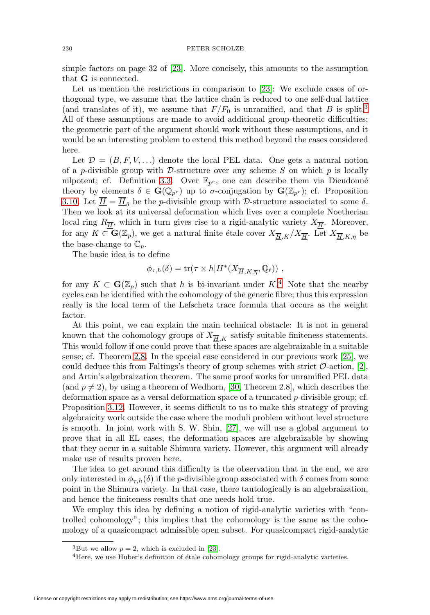simple factors on page 32 of [\[23\]](#page-32-8). More concisely, this amounts to the assumption that **G** is connected.

Let us mention the restrictions in comparison to [\[23\]](#page-32-8): We exclude cases of orthogonal type, we assume that the lattice chain is reduced to one self-dual lattice (and translates of it), we assume that  $F/F_0$  is unramified, and that B is split.<sup>[3](#page-3-0)</sup> All of these assumptions are made to avoid additional group-theoretic difficulties; the geometric part of the argument should work without these assumptions, and it would be an interesting problem to extend this method beyond the cases considered here.

Let  $\mathcal{D} = (B, F, V, \ldots)$  denote the local PEL data. One gets a natural notion of a p-divisible group with D-structure over any scheme S on which  $p$  is locally nilpotent; cf. Definition [3.3.](#page-11-0) Over  $\mathbb{F}_{p^r}$ , one can describe them via Dieudonné theory by elements  $\delta \in \mathbf{G}(\mathbb{Q}_{p^r})$  up to  $\sigma$ -conjugation by  $\mathbf{G}(\mathbb{Z}_{p^r})$ ; cf. Proposition [3.10.](#page-13-0) Let  $\overline{H} = \overline{H}_{\delta}$  be the p-divisible group with D-structure associated to some  $\delta$ . Then we look at its universal deformation which lives over a complete Noetherian local ring  $R_{\overline{H}}$ , which in turn gives rise to a rigid-analytic variety  $X_{\overline{H}}$ . Moreover, for any  $K \subset \mathbf{G}(\mathbb{Z}_p)$ , we get a natural finite étale cover  $X_{\overline{H},K}/X_{\overline{H}}$ . Let  $X_{\overline{H},K,\overline{\eta}}$  be the base-change to  $\mathbb{C}_p$ .

The basic idea is to define

$$
\phi_{\tau,h}(\delta) = \text{tr}(\tau \times h | H^*(X_{\overline{H},K,\overline{\eta}},\mathbb{Q}_\ell)) \;,
$$

for any  $K \subset \mathbf{G}(\mathbb{Z}_p)$  such that h is bi-invariant under  $K^4$  $K^4$ . Note that the nearby cycles can be identified with the cohomology of the generic fibre; thus this expression really is the local term of the Lefschetz trace formula that occurs as the weight factor.

At this point, we can explain the main technical obstacle: It is not in general known that the cohomology groups of  $X_{\overline{H},K}$  satisfy suitable finiteness statements. This would follow if one could prove that these spaces are algebraizable in a suitable sense; cf. Theorem [2.8.](#page-8-0) In the special case considered in our previous work [\[25\]](#page-32-0), we could deduce this from Faltings's theory of group schemes with strict  $\mathcal{O}\text{-action}$ , [\[2\]](#page-31-4), and Artin's algebraization theorem. The same proof works for unramified PEL data (and  $p \neq 2$ ), by using a theorem of Wedhorn, [\[30,](#page-32-9) Theorem 2.8], which describes the deformation space as a versal deformation space of a truncated p-divisible group; cf. Proposition [3.12.](#page-14-0) However, it seems difficult to us to make this strategy of proving algebraicity work outside the case where the moduli problem without level structure is smooth. In joint work with S. W. Shin, [\[27\]](#page-32-1), we will use a global argument to prove that in all EL cases, the deformation spaces are algebraizable by showing that they occur in a suitable Shimura variety. However, this argument will already make use of results proven here.

The idea to get around this difficulty is the observation that in the end, we are only interested in  $\phi_{\tau,h}(\delta)$  if the p-divisible group associated with  $\delta$  comes from some point in the Shimura variety. In that case, there tautologically is an algebraization, and hence the finiteness results that one needs hold true.

We employ this idea by defining a notion of rigid-analytic varieties with "controlled cohomology"; this implies that the cohomology is the same as the cohomology of a quasicompact admissible open subset. For quasicompact rigid-analytic

<sup>&</sup>lt;sup>3</sup>But we allow  $p = 2$ , which is excluded in [\[23\]](#page-32-8).

<span id="page-3-1"></span><span id="page-3-0"></span> $4$ Here, we use Huber's definition of étale cohomology groups for rigid-analytic varieties.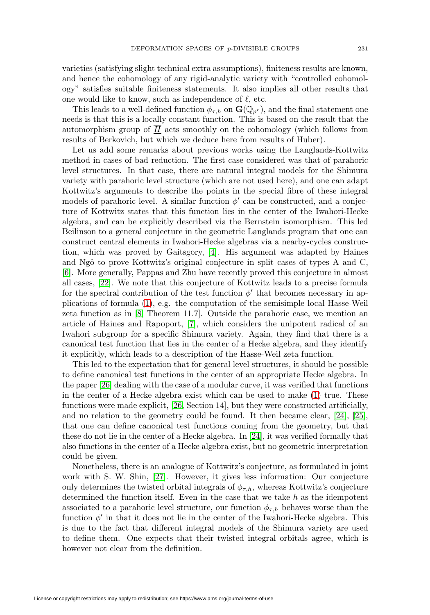varieties (satisfying slight technical extra assumptions), finiteness results are known, and hence the cohomology of any rigid-analytic variety with "controlled cohomology" satisfies suitable finiteness statements. It also implies all other results that one would like to know, such as independence of  $\ell$ , etc.

This leads to a well-defined function  $\phi_{\tau,h}$  on  $\mathbf{G}(\mathbb{Q}_{p^r})$ , and the final statement one needs is that this is a locally constant function. This is based on the result that the automorphism group of H acts smoothly on the cohomology (which follows from results of Berkovich, but which we deduce here from results of Huber).

Let us add some remarks about previous works using the Langlands-Kottwitz method in cases of bad reduction. The first case considered was that of parahoric level structures. In that case, there are natural integral models for the Shimura variety with parahoric level structure (which are not used here), and one can adapt Kottwitz's arguments to describe the points in the special fibre of these integral models of parahoric level. A similar function  $\phi'$  can be constructed, and a conjecture of Kottwitz states that this function lies in the center of the Iwahori-Hecke algebra, and can be explicitly described via the Bernstein isomorphism. This led Beilinson to a general conjecture in the geometric Langlands program that one can construct central elements in Iwahori-Hecke algebras via a nearby-cycles construction, which was proved by Gaitsgory, [\[4\]](#page-31-5). His argument was adapted by Haines and Ngô to prove Kottwitz's original conjecture in split cases of types A and C, [\[6\]](#page-31-6). More generally, Pappas and Zhu have recently proved this conjecture in almost all cases, [\[22\]](#page-32-10). We note that this conjecture of Kottwitz leads to a precise formula for the spectral contribution of the test function  $\phi'$  that becomes necessary in applications of formula [\(1\)](#page-1-1), e.g. the computation of the semisimple local Hasse-Weil zeta function as in [\[8,](#page-31-3) Theorem 11.7]. Outside the parahoric case, we mention an article of Haines and Rapoport, [\[7\]](#page-31-7), which considers the unipotent radical of an Iwahori subgroup for a specific Shimura variety. Again, they find that there is a canonical test function that lies in the center of a Hecke algebra, and they identify it explicitly, which leads to a description of the Hasse-Weil zeta function.

This led to the expectation that for general level structures, it should be possible to define canonical test functions in the center of an appropriate Hecke algebra. In the paper [\[26\]](#page-32-5) dealing with the case of a modular curve, it was verified that functions in the center of a Hecke algebra exist which can be used to make [\(1\)](#page-1-1) true. These functions were made explicit, [\[26,](#page-32-5) Section 14], but they were constructed artificially, and no relation to the geometry could be found. It then became clear, [\[24\]](#page-32-7), [\[25\]](#page-32-0), that one can define canonical test functions coming from the geometry, but that these do not lie in the center of a Hecke algebra. In [\[24\]](#page-32-7), it was verified formally that also functions in the center of a Hecke algebra exist, but no geometric interpretation could be given.

Nonetheless, there is an analogue of Kottwitz's conjecture, as formulated in joint work with S. W. Shin, [\[27\]](#page-32-1). However, it gives less information: Our conjecture only determines the twisted orbital integrals of  $\phi_{\tau,h}$ , whereas Kottwitz's conjecture determined the function itself. Even in the case that we take  $h$  as the idempotent associated to a parahoric level structure, our function  $\phi_{\tau,h}$  behaves worse than the function  $\phi'$  in that it does not lie in the center of the Iwahori-Hecke algebra. This is due to the fact that different integral models of the Shimura variety are used to define them. One expects that their twisted integral orbitals agree, which is however not clear from the definition.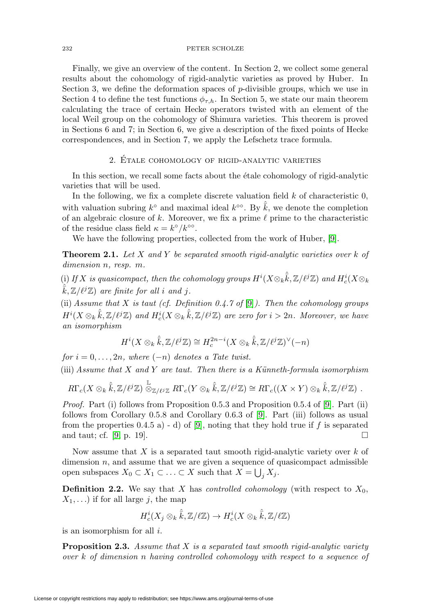Finally, we give an overview of the content. In Section 2, we collect some general results about the cohomology of rigid-analytic varieties as proved by Huber. In Section 3, we define the deformation spaces of  $p$ -divisible groups, which we use in Section 4 to define the test functions  $\phi_{\tau,h}$ . In Section 5, we state our main theorem calculating the trace of certain Hecke operators twisted with an element of the local Weil group on the cohomology of Shimura varieties. This theorem is proved in Sections 6 and 7; in Section 6, we give a description of the fixed points of Hecke correspondences, and in Section 7, we apply the Lefschetz trace formula.

# 2. Etale cohomology of rigid-analytic varieties ´

<span id="page-5-0"></span>In this section, we recall some facts about the étale cohomology of rigid-analytic varieties that will be used.

In the following, we fix a complete discrete valuation field  $k$  of characteristic  $0$ , with valuation subring  $k^{\circ}$  and maximal ideal  $k^{\circ\circ}$ . By  $\hat{\overline{k}}$ , we denote the completion of an algebraic closure of k. Moreover, we fix a prime  $\ell$  prime to the characteristic of the residue class field  $\kappa = k^{\circ}/k^{\circ\circ}$ .

We have the following properties, collected from the work of Huber, [\[9\]](#page-31-8).

**Theorem 2.1.** Let X and Y be separated smooth rigid-analytic varieties over k of dimension *n*, *resp. m*.

(i) If X is quasicompact, then the cohomology groups  $H^i(X\otimes_k\hat{\bar{k}},\mathbb{Z}/\ell^j\mathbb{Z})$  and  $H^i_c(X\otimes_k$  $\hat{\vec{k}}, \mathbb{Z}/\ell^{j}\mathbb{Z}$  are finite for all i and j.

(ii) Assume that X is taut (cf. Definition 0.4.7 of [\[9\]](#page-31-8)). Then the cohomology groups  $H^i(X\otimes_k \hat{\bar{k}}, \mathbb{Z}/\ell^j\mathbb{Z})$  and  $H^i_c(X\otimes_k \hat{\bar{k}}, \mathbb{Z}/\ell^j\mathbb{Z})$  are zero for  $i>2n$ . Moreover, we have an isomorphism

$$
H^{i}(X \otimes_{k} \hat{k}, \mathbb{Z}/\ell^{j}\mathbb{Z}) \cong H^{2n-i}_{c}(X \otimes_{k} \hat{k}, \mathbb{Z}/\ell^{j}\mathbb{Z})^{\vee}(-n)
$$

for  $i = 0, \ldots, 2n$ , where  $(-n)$  denotes a Tate twist. (iii) Assume that  $X$  and  $Y$  are taut. Then there is a Künneth-formula isomorphism

$$
R\Gamma_c(X\otimes_k \hat{\overline{k}},\mathbb{Z}/\ell^j\mathbb{Z})\stackrel{\mathbb{L}}{\otimes}_{\mathbb{Z}/\ell^j\mathbb{Z}}R\Gamma_c(Y\otimes_k \hat{\overline{k}},\mathbb{Z}/\ell^j\mathbb{Z})\cong R\Gamma_c((X\times Y)\otimes_k \hat{\overline{k}},\mathbb{Z}/\ell^j\mathbb{Z})\ .
$$

*Proof.* Part (i) follows from Proposition 0.5.3 and Proposition 0.5.4 of [\[9\]](#page-31-8). Part (ii) follows from Corollary 0.5.8 and Corollary 0.6.3 of [\[9\]](#page-31-8). Part (iii) follows as usual from the properties  $(0.4.5 a) - d$  of [\[9\]](#page-31-8), noting that they hold true if f is separated and taut; cf. [\[9,](#page-31-8) p. 19].  $\Box$ 

Now assume that  $X$  is a separated taut smooth rigid-analytic variety over  $k$  of dimension  $n$ , and assume that we are given a sequence of quasicompact admissible open subspaces  $X_0 \subset X_1 \subset \ldots \subset X$  such that  $X = \bigcup_j X_j$ .

**Definition 2.2.** We say that X has *controlled cohomology* (with respect to  $X_0$ ,  $X_1,...$ ) if for all large j, the map

$$
H_c^i(X_j \otimes_k \hat{\overline{k}}, \mathbb{Z}/\ell \mathbb{Z}) \to H_c^i(X \otimes_k \hat{\overline{k}}, \mathbb{Z}/\ell \mathbb{Z})
$$

is an isomorphism for all i.

**Proposition 2.3.** Assume that X is a separated taut smooth rigid-analytic variety over k of dimension n having controlled cohomology with respect to a sequence of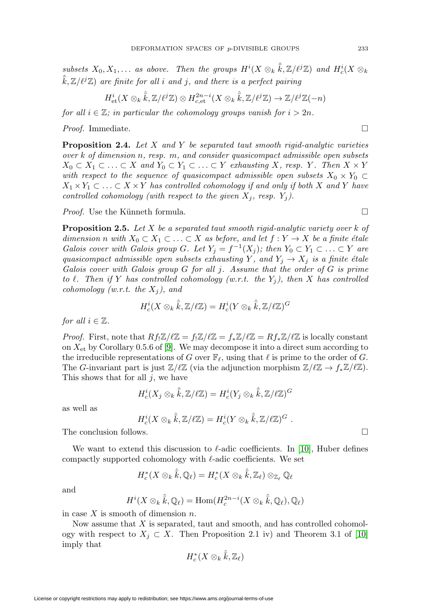subsets  $X_0, X_1, \ldots$  as above. Then the groups  $H^i(X \otimes_k \hat{k}, \mathbb{Z}/\ell^j\mathbb{Z})$  and  $H^i_c(X \otimes_k \hat{k}, \mathbb{Z}/\ell^j\mathbb{Z})$  $\hat{\bar{k}}$ ,  $\mathbb{Z}/\ell^{j}\mathbb{Z}$ ) are finite for all i and j, and there is a perfect pairing

$$
H^i_{\text{et}}(X \otimes_k \hat{\overline{k}}, \mathbb{Z}/\ell^j \mathbb{Z}) \otimes H^{2n-i}_{c,\text{et}}(X \otimes_k \hat{\overline{k}}, \mathbb{Z}/\ell^j \mathbb{Z}) \to \mathbb{Z}/\ell^j \mathbb{Z}(-n)
$$

for all  $i \in \mathbb{Z}$ ; in particular the cohomology groups vanish for  $i > 2n$ .

*Proof.* Immediate.  $\Box$ 

<span id="page-6-1"></span>**Proposition 2.4.** Let X and Y be separated taut smooth rigid-analytic varieties over k of dimension n, resp. m, and consider quasicompact admissible open subsets  $X_0 \subset X_1 \subset \ldots \subset X$  and  $Y_0 \subset Y_1 \subset \ldots \subset Y$  exhausting X, resp. Y. Then  $X \times Y$ with respect to the sequence of quasicompact admissible open subsets  $X_0 \times Y_0 \subset$  $X_1 \times Y_1 \subset \ldots \subset X \times Y$  has controlled cohomology if and only if both X and Y have controlled cohomology (with respect to the given  $X_j$ , resp.  $Y_j$ ).

*Proof.* Use the Künneth formula.  $\square$ 

<span id="page-6-0"></span>**Proposition 2.5.** Let X be a separated taut smooth rigid-analytic variety over k of dimension n with  $X_0 \subset X_1 \subset \ldots \subset X$  as before, and let  $f: Y \to X$  be a finite étale Galois cover with Galois group G. Let  $Y_j = f^{-1}(X_j)$ ; then  $Y_0 \subset Y_1 \subset \ldots \subset Y$  are quasicompact admissible open subsets exhausting Y, and  $Y_i \rightarrow X_j$  is a finite étale Galois cover with Galois group G for all j. Assume that the order of G is prime to  $\ell$ . Then if Y has controlled cohomology (w.r.t. the Y<sub>j</sub>), then X has controlled cohomology (w.r.t. the  $X_j$ ), and

$$
H^i_c(X\otimes_k \hat{\bar{k}}, {\mathbb Z}/\ell{\mathbb Z})=H^i_c(Y\otimes_k \hat{\bar{k}}, {\mathbb Z}/\ell{\mathbb Z})^G
$$

for all  $i \in \mathbb{Z}$ .

*Proof.* First, note that  $Rf_!\mathbb{Z}/\ell\mathbb{Z} = f_*\mathbb{Z}/\ell\mathbb{Z} = f_*\mathbb{Z}/\ell\mathbb{Z} = Rf_*\mathbb{Z}/\ell\mathbb{Z}$  is locally constant on  $X_{\text{et}}$  by Corollary 0.5.6 of [\[9\]](#page-31-8). We may decompose it into a direct sum according to the irreducible representations of G over  $\mathbb{F}_{\ell}$ , using that  $\ell$  is prime to the order of G. The G-invariant part is just  $\mathbb{Z}/\ell\mathbb{Z}$  (via the adjunction morphism  $\mathbb{Z}/\ell\mathbb{Z} \to f_*\mathbb{Z}/\ell\mathbb{Z}$ ). This shows that for all  $j$ , we have

$$
H^i_c(X_j \otimes_k \hat{\bar{k}}, {\mathbb Z}/\ell{\mathbb Z}) = H^i_c(Y_j \otimes_k \hat{\bar{k}}, {\mathbb Z}/\ell{\mathbb Z})^G
$$

as well as

$$
H_c^i(X\otimes_k \hat{\overline{k}},\mathbb{Z}/\ell\mathbb{Z})=H_c^i(Y\otimes_k \hat{\overline{k}},\mathbb{Z}/\ell\mathbb{Z})^G.
$$

The conclusion follows.  $\Box$ 

We want to extend this discussion to  $\ell$ -adic coefficients. In [\[10\]](#page-31-9), Huber defines compactly supported cohomology with  $\ell$ -adic coefficients. We set

$$
H_c^*(X \otimes_k \hat{\overline{k}}, \mathbb{Q}_\ell) = H_c^*(X \otimes_k \hat{\overline{k}}, \mathbb{Z}_\ell) \otimes_{\mathbb{Z}_\ell} \mathbb{Q}_\ell
$$

and

$$
H^{i}(X \otimes_{k} \hat{\overline{k}}, \mathbb{Q}_{\ell}) = \text{Hom}(H_{c}^{2n-i}(X \otimes_{k} \hat{\overline{k}}, \mathbb{Q}_{\ell}), \mathbb{Q}_{\ell})
$$

in case  $X$  is smooth of dimension  $n$ .

Now assume that X is separated, taut and smooth, and has controlled cohomology with respect to  $X_j \subset X$ . Then Proposition 2.1 iv) and Theorem 3.1 of [\[10\]](#page-31-9) imply that

$$
H^*_c(X\otimes_k \hat{\bar{k}}, {\mathbb Z}_\ell)
$$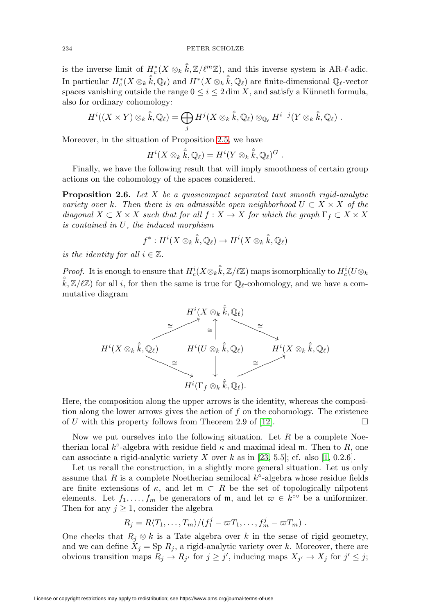is the inverse limit of  $H_c^*(X \otimes_k \hat{\overline{k}}, \mathbb{Z}/\ell^m \mathbb{Z})$ , and this inverse system is AR- $\ell$ -adic. In particular  $H_c^*(X \otimes_k \hat{\overline{k}}, \mathbb{Q}_\ell)$  and  $H^*(X \otimes_k \hat{\overline{k}}, \mathbb{Q}_\ell)$  are finite-dimensional  $\mathbb{Q}_\ell$ -vector spaces vanishing outside the range  $0 \leq i \leq 2 \dim X$ , and satisfy a Künneth formula, also for ordinary cohomology:

$$
H^i((X \times Y) \otimes_k \hat{k}, \mathbb{Q}_\ell) = \bigoplus_j H^j(X \otimes_k \hat{k}, \mathbb{Q}_\ell) \otimes_{\mathbb{Q}_\ell} H^{i-j}(Y \otimes_k \hat{k}, \mathbb{Q}_\ell).
$$

Moreover, in the situation of Proposition [2.5,](#page-6-0) we have

$$
H^i(X \otimes_k \hat{\overline{k}}, \mathbb{Q}_\ell) = H^i(Y \otimes_k \hat{\overline{k}}, \mathbb{Q}_\ell)^G.
$$

Finally, we have the following result that will imply smoothness of certain group actions on the cohomology of the spaces considered.

<span id="page-7-0"></span>**Proposition 2.6.** Let X be a quasicompact separated taut smooth rigid-analytic variety over k. Then there is an admissible open neighborhood  $U \subset X \times X$  of the diagonal  $X \subset X \times X$  such that for all  $f : X \to X$  for which the graph  $\Gamma_f \subset X \times X$ is contained in U, the induced morphism

$$
f^*: H^i(X\otimes_k \hat{\overline{k}}, \mathbb{Q}_\ell) \to H^i(X\otimes_k \hat{\overline{k}}, \mathbb{Q}_\ell)
$$

is the identity for all  $i \in \mathbb{Z}$ .

*Proof.* It is enough to ensure that  $H_c^i(X \otimes_k \hat{\overline{k}}, \mathbb{Z}/\ell \mathbb{Z})$  maps isomorphically to  $H_c^i(U \otimes_k \mathbb{Z})$  $\hat{\bar{k}}, \mathbb{Z}/\ell\mathbb{Z}$ ) for all *i*, for then the same is true for  $\mathbb{Q}_{\ell}$ -cohomology, and we have a commutative diagram



Here, the composition along the upper arrows is the identity, whereas the composition along the lower arrows gives the action of  $f$  on the cohomology. The existence of U with this property follows from Theorem 2.9 of [\[12\]](#page-32-11).  $\Box$ 

Now we put ourselves into the following situation. Let  $R$  be a complete Noetherian local k°-algebra with residue field  $\kappa$  and maximal ideal m. Then to R, one can associate a rigid-analytic variety X over k as in [\[23,](#page-32-8) 5.5]; cf. also [\[1,](#page-31-10) 0.2.6].

Let us recall the construction, in a slightly more general situation. Let us only assume that R is a complete Noetherian semilocal  $k$ <sup>°</sup>-algebra whose residue fields are finite extensions of  $\kappa$ , and let  $\mathfrak{m} \subset R$  be the set of topologically nilpotent elements. Let  $f_1,\ldots,f_m$  be generators of m, and let  $\varpi \in k^{\infty}$  be a uniformizer. Then for any  $j \geq 1$ , consider the algebra

$$
R_j = R\langle T_1,\ldots,T_m\rangle/(f_1^j-\varpi T_1,\ldots,f_m^j-\varpi T_m) .
$$

One checks that  $R_j \otimes k$  is a Tate algebra over k in the sense of rigid geometry, and we can define  $X_j = \text{Sp } R_j$ , a rigid-analytic variety over k. Moreover, there are obvious transition maps  $R_j \to R_{j'}$  for  $j \geq j'$ , inducing maps  $X_{j'} \to X_j$  for  $j' \leq j$ ;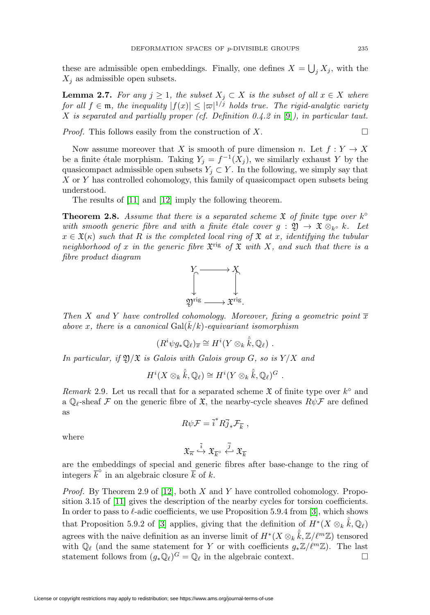these are admissible open embeddings. Finally, one defines  $X = \bigcup_j X_j$ , with the  $X_i$  as admissible open subsets.

**Lemma 2.7.** For any  $j \geq 1$ , the subset  $X_j \subset X$  is the subset of all  $x \in X$  where for all  $f \in \mathfrak{m}$ , the inequality  $|f(x)| \leq |\varpi|^{1/j}$  holds true. The rigid-analytic variety X is separated and partially proper (cf. Definition 0.4.2 in [\[9\]](#page-31-8)), in particular taut.

*Proof.* This follows easily from the construction of X.  $\Box$ 

Now assume moreover that X is smooth of pure dimension n. Let  $f: Y \to X$ be a finite étale morphism. Taking  $Y_j = f^{-1}(X_j)$ , we similarly exhaust Y by the quasicompact admissible open subsets  $Y_i \subset Y$ . In the following, we simply say that X or Y has controlled cohomology, this family of quasicompact open subsets being understood.

The results of [\[11\]](#page-32-12) and [\[12\]](#page-32-11) imply the following theorem.

<span id="page-8-0"></span>**Theorem 2.8.** Assume that there is a separated scheme  $\mathfrak{X}$  of finite type over  $k^{\circ}$ with smooth generic fibre and with a finite étale cover  $g : \mathfrak{Y} \to \mathfrak{X} \otimes_{k^{\circ}} k$ . Let  $x \in \mathfrak{X}(\kappa)$  such that R is the completed local ring of X at x, identifying the tubular neighborhood of x in the generic fibre  $\mathfrak{X}^{\text{rig}}$  of  $\mathfrak{X}$  with X, and such that there is a fibre product diagram



Then X and Y have controlled cohomology. Moreover, fixing a geometric point  $\overline{x}$ above x, there is a canonical  $\text{Gal}(\overline{k}/k)$ -equivariant isomorphism

$$
(R^i \psi g_* \mathbb{Q}_\ell)_{\overline{x}} \cong H^i(Y \otimes_k \hat{\overline{k}}, \mathbb{Q}_\ell) .
$$

In particular, if  $\mathfrak{Y}/\mathfrak{X}$  is Galois with Galois group G, so is  $Y/X$  and

$$
H^i(X \otimes_k \hat{\overline{k}}, \mathbb{Q}_\ell) \cong H^i(Y \otimes_k \hat{\overline{k}}, \mathbb{Q}_\ell)^G.
$$

Remark 2.9. Let us recall that for a separated scheme  $\mathfrak{X}$  of finite type over  $k^{\circ}$  and a  $\mathbb{Q}_\ell$ -sheaf F on the generic fibre of  $\mathfrak{X}$ , the nearby-cycle sheaves  $R\psi$ F are defined as

$$
R\psi\mathcal{F}=\overline{i}^*R\overline{j}_*\mathcal{F}_{\overline{k}}\ ,
$$

where

$$
\mathfrak{X}_{\overline{\kappa}} \stackrel{\overline{i}}{\hookrightarrow} \mathfrak{X}_{\overline{k}^{\circ}} \stackrel{\overline{j}}{\hookleftarrow} \mathfrak{X}_{\overline{k}}
$$

are the embeddings of special and generic fibres after base-change to the ring of integers  $\overline{k}^{\circ}$  in an algebraic closure  $\overline{k}$  of k.

*Proof.* By Theorem 2.9 of [\[12\]](#page-32-11), both X and Y have controlled cohomology. Proposition 3.15 of [\[11\]](#page-32-12) gives the description of the nearby cycles for torsion coefficients. In order to pass to  $\ell$ -adic coefficients, we use Proposition 5.9.4 from [\[3\]](#page-31-11), which shows that Proposition 5.9.2 of [\[3\]](#page-31-11) applies, giving that the definition of  $H^*(X \otimes_k \hat{\overline{k}}, \mathbb{Q}_\ell)$ agrees with the naive definition as an inverse limit of  $H^*(X \otimes_k \hat{\overline{k}}, \mathbb{Z}/\ell^m \mathbb{Z})$  tensored with  $\mathbb{Q}_{\ell}$  (and the same statement for Y or with coefficients  $g_*\mathbb{Z}/\ell^m\mathbb{Z}$ ). The last statement follows from  $(g_*\mathbb{Q}_{\ell})^G = \mathbb{Q}_{\ell}$  in the algebraic context. statement follows from  $(g_*\mathbb{Q}_\ell)^G = \mathbb{Q}_\ell$  in the algebraic context.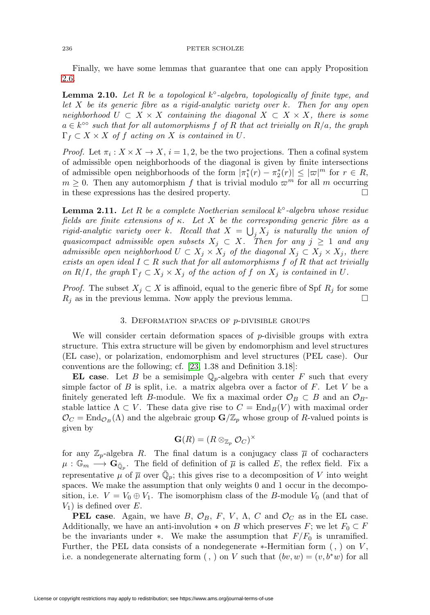Finally, we have some lemmas that guarantee that one can apply Proposition [2.6.](#page-7-0)

**Lemma 2.10.** Let R be a topological k◦-algebra, topologically of finite type, and let X be its generic fibre as a rigid-analytic variety over k. Then for any open neighborhood  $U \subset X \times X$  containing the diagonal  $X \subset X \times X$ , there is some  $a \in k^{\infty}$  such that for all automorphisms f of R that act trivially on  $R/a$ , the graph  $\Gamma_f \subset X \times X$  of f acting on X is contained in U.

*Proof.* Let  $\pi_i : X \times X \to X$ ,  $i = 1, 2$ , be the two projections. Then a cofinal system of admissible open neighborhoods of the diagonal is given by finite intersections of admissible open neighborhoods of the form  $|\pi_1^*(r) - \pi_2^*(r)| \leq |\varpi|^m$  for  $r \in R$ ,  $m \geq 0$ . Then any automorphism f that is trivial modulo  $\varpi^m$  for all m occurring in these expressions has the desired property.  $\Box$ 

<span id="page-9-1"></span>Lemma 2.11. Let R be a complete Noetherian semilocal k<sup>∘</sup>-algebra whose residue fields are finite extensions of  $\kappa$ . Let X be the corresponding generic fibre as a rigid-analytic variety over k. Recall that  $X = \bigcup_j X_j$  is naturally the union of quasicompact admissible open subsets  $X_j \subset X$ . Then for any  $j \geq 1$  and any admissible open neighborhood  $U \subset X_j \times X_j$  of the diagonal  $X_j \subset X_j \times X_j$ , there exists an open ideal  $I \subset R$  such that for all automorphisms f of R that act trivially on R/I, the graph  $\Gamma_f \subset X_j \times X_j$  of the action of f on  $X_j$  is contained in U.

<span id="page-9-0"></span>*Proof.* The subset  $X_j \subset X$  is affinoid, equal to the generic fibre of Spf  $R_j$  for some  $R_i$  as in the previous lemma. Now apply the previous lemma.  $\Box$ 

## 3. DEFORMATION SPACES OF  $p$ -DIVISIBLE GROUPS

We will consider certain deformation spaces of  $p$ -divisible groups with extra structure. This extra structure will be given by endomorphism and level structures (EL case), or polarization, endomorphism and level structures (PEL case). Our conventions are the following; cf. [\[23,](#page-32-8) 1.38 and Definition 3.18]:

**EL case**. Let B be a semisimple  $\mathbb{Q}_p$ -algebra with center F such that every simple factor of  $B$  is split, i.e. a matrix algebra over a factor of  $F$ . Let  $V$  be a finitely generated left B-module. We fix a maximal order  $\mathcal{O}_B \subset B$  and an  $\mathcal{O}_B$ stable lattice  $\Lambda \subset V$ . These data give rise to  $C = \text{End}_B(V)$  with maximal order  $\mathcal{O}_C = \text{End}_{\mathcal{O}_B}(\Lambda)$  and the algebraic group  $\mathbf{G}/\mathbb{Z}_p$  whose group of R-valued points is given by

$$
\mathbf{G}(R) = (R \otimes_{\mathbb{Z}_p} \mathcal{O}_C)^\times
$$

for any  $\mathbb{Z}_p$ -algebra R. The final datum is a conjugacy class  $\overline{\mu}$  of cocharacters  $\mu: \mathbb{G}_m \longrightarrow \mathbf{G}_{\bar{\mathbb{Q}}_n}$ . The field of definition of  $\bar{\mu}$  is called E, the reflex field. Fix a representative  $\mu$  of  $\overline{\mu}$  over  $\overline{\mathbb{Q}}_p$ ; this gives rise to a decomposition of V into weight spaces. We make the assumption that only weights 0 and 1 occur in the decomposition, i.e.  $V = V_0 \oplus V_1$ . The isomorphism class of the B-module  $V_0$  (and that of  $V_1$ ) is defined over E.

**PEL case**. Again, we have  $B$ ,  $\mathcal{O}_B$ ,  $F$ ,  $V$ ,  $\Lambda$ ,  $C$  and  $\mathcal{O}_C$  as in the EL case. Additionally, we have an anti-involution  $*$  on B which preserves F; we let  $F_0 \subset F$ be the invariants under ∗. We make the assumption that  $F/F_0$  is unramified. Further, the PEL data consists of a nondegenerate  $*$ -Hermitian form  $($ ,  $)$  on  $V$ , i.e. a nondegenerate alternating form (, ) on V such that  $(bv, w)=(v, b^*w)$  for all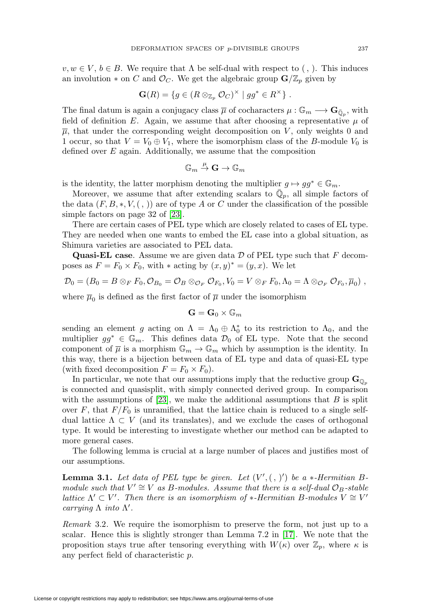$v, w \in V, b \in B$ . We require that  $\Lambda$  be self-dual with respect to (, ). This induces an involution  $*$  on C and  $\mathcal{O}_C$ . We get the algebraic group  $\mathbf{G}/\mathbb{Z}_p$  given by

$$
\mathbf{G}(R) = \{ g \in (R \otimes_{\mathbb{Z}_p} \mathcal{O}_C)^\times \mid gg^* \in R^\times \} .
$$

The final datum is again a conjugacy class  $\overline{\mu}$  of cocharacters  $\mu : \mathbb{G}_m \longrightarrow \mathbf{G}_{\overline{\mathbb{Q}}_p}$ , with field of definition E. Again, we assume that after choosing a representative  $\mu$  of  $\overline{\mu}$ , that under the corresponding weight decomposition on V, only weights 0 and 1 occur, so that  $V = V_0 \oplus V_1$ , where the isomorphism class of the B-module  $V_0$  is defined over  $E$  again. Additionally, we assume that the composition

$$
\mathbb{G}_m \overset{\mu}{\to} \mathbf{G} \to \mathbb{G}_m
$$

is the identity, the latter morphism denoting the multiplier  $g \mapsto gg^* \in \mathbb{G}_m$ .

Moreover, we assume that after extending scalars to  $\mathbb{Q}_p$ , all simple factors of the data  $(F, B, *, V, ( , ))$  are of type A or C under the classification of the possible simple factors on page 32 of [\[23\]](#page-32-8).

There are certain cases of PEL type which are closely related to cases of EL type. They are needed when one wants to embed the EL case into a global situation, as Shimura varieties are associated to PEL data.

**Quasi-EL case**. Assume we are given data D of PEL type such that F decomposes as  $F = F_0 \times F_0$ , with  $*$  acting by  $(x, y)^* = (y, x)$ . We let

$$
\mathcal{D}_0 = (B_0 = B \otimes_F F_0, \mathcal{O}_{B_0} = \mathcal{O}_B \otimes_{\mathcal{O}_F} \mathcal{O}_{F_0}, V_0 = V \otimes_F F_0, \Lambda_0 = \Lambda \otimes_{\mathcal{O}_F} \mathcal{O}_{F_0}, \overline{\mu}_0),
$$

where  $\overline{\mu}_0$  is defined as the first factor of  $\overline{\mu}$  under the isomorphism

$$
\mathbf{G} = \mathbf{G}_0 \times \mathbb{G}_m
$$

sending an element g acting on  $\Lambda = \Lambda_0 \oplus \Lambda_0^*$  to its restriction to  $\Lambda_0$ , and the multiplier  $gg^* \in \mathbb{G}_m$ . This defines data  $\mathcal{D}_0$  of EL type. Note that the second component of  $\overline{\mu}$  is a morphism  $\mathbb{G}_m \to \mathbb{G}_m$  which by assumption is the identity. In this way, there is a bijection between data of EL type and data of quasi-EL type (with fixed decomposition  $F = F_0 \times F_0$ ).

In particular, we note that our assumptions imply that the reductive group  $\mathbf{G}_{\mathbb{Q}_p}$ is connected and quasisplit, with simply connected derived group. In comparison with the assumptions of [\[23\]](#page-32-8), we make the additional assumptions that  $B$  is split over F, that  $F/F_0$  is unramified, that the lattice chain is reduced to a single selfdual lattice  $\Lambda \subset V$  (and its translates), and we exclude the cases of orthogonal type. It would be interesting to investigate whether our method can be adapted to more general cases.

The following lemma is crucial at a large number of places and justifies most of our assumptions.

<span id="page-10-0"></span>**Lemma 3.1.** Let data of PEL type be given. Let  $(V', ( , )')$  be a  $*$ -Hermitian Bmodule such that  $V' \cong V$  as B-modules. Assume that there is a self-dual  $\mathcal{O}_B$ -stable lattice  $\Lambda' \subset V'$ . Then there is an isomorphism of \*-Hermitian B-modules  $V \cong V'$ carrying  $\Lambda$  into  $\Lambda'$ .

Remark 3.2. We require the isomorphism to preserve the form, not just up to a scalar. Hence this is slightly stronger than Lemma 7.2 in [\[17\]](#page-32-6). We note that the proposition stays true after tensoring everything with  $W(\kappa)$  over  $\mathbb{Z}_p$ , where  $\kappa$  is any perfect field of characteristic p.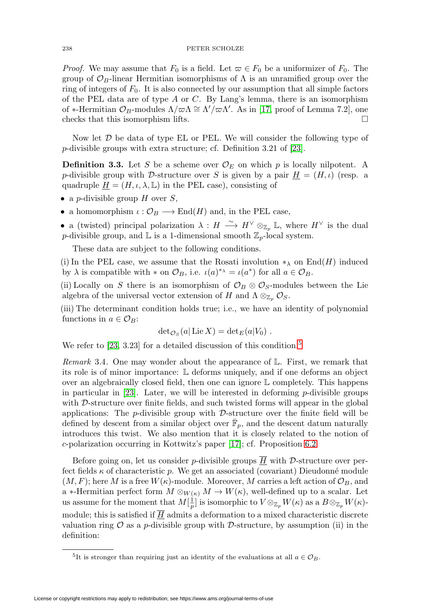*Proof.* We may assume that  $F_0$  is a field. Let  $\varpi \in F_0$  be a uniformizer of  $F_0$ . The group of  $\mathcal{O}_B$ -linear Hermitian isomorphisms of  $\Lambda$  is an unramified group over the ring of integers of  $F_0$ . It is also connected by our assumption that all simple factors of the PEL data are of type  $A$  or  $C$ . By Lang's lemma, there is an isomorphism of \*-Hermitian  $\mathcal{O}_B$ -modules  $\Lambda/\varpi\Lambda \cong \Lambda'/\varpi\Lambda'$ . As in [\[17,](#page-32-6) proof of Lemma 7.2], one checks that this isomorphism lifts. - $\Box$ 

Now let  $D$  be data of type EL or PEL. We will consider the following type of p-divisible groups with extra structure; cf. Definition 3.21 of [\[23\]](#page-32-8).

<span id="page-11-0"></span>**Definition 3.3.** Let S be a scheme over  $\mathcal{O}_E$  on which p is locally nilpotent. A p-divisible group with D-structure over S is given by a pair  $H = (H, \iota)$  (resp. a quadruple  $\underline{H} = (H, \iota, \lambda, \mathbb{L})$  in the PEL case), consisting of

- a *p*-divisible group  $H$  over  $S$ ,
- a homomorphism  $\iota : \mathcal{O}_B \longrightarrow \text{End}(H)$  and, in the PEL case,

• a (twisted) principal polarization  $\lambda : H \longrightarrow H^{\vee} \otimes_{\mathbb{Z}_p} \mathbb{L}$ , where  $H^{\vee}$  is the dual p-divisible group, and  $\mathbb L$  is a 1-dimensional smooth  $\mathbb Z_p$ -local system.

These data are subject to the following conditions.

(i) In the PEL case, we assume that the Rosati involution  $*_\lambda$  on End(H) induced by  $\lambda$  is compatible with  $*$  on  $\mathcal{O}_B$ , i.e.  $\iota(a)^{*_{\lambda}} = \iota(a^*)$  for all  $a \in \mathcal{O}_B$ .

(ii) Locally on S there is an isomorphism of  $\mathcal{O}_B \otimes \mathcal{O}_S$ -modules between the Lie algebra of the universal vector extension of H and  $\Lambda \otimes_{\mathbb{Z}_p} \mathcal{O}_S$ .

(iii) The determinant condition holds true; i.e., we have an identity of polynomial functions in  $a \in \mathcal{O}_B$ :

$$
\det_{{\cal O}_S}(a|\operatorname{Lie}X)=\det_E(a|V_0).
$$

We refer to  $[23, 3.23]$  $[23, 3.23]$  for a detailed discussion of this condition.<sup>[5](#page-11-1)</sup>

Remark 3.4. One may wonder about the appearance of L. First, we remark that its role is of minor importance: L deforms uniquely, and if one deforms an object over an algebraically closed field, then one can ignore  $\mathbb L$  completely. This happens in particular in  $[23]$ . Later, we will be interested in deforming p-divisible groups with D-structure over finite fields, and such twisted forms will appear in the global applications: The  $p$ -divisible group with  $\mathcal{D}$ -structure over the finite field will be defined by descent from a similar object over  $\bar{\mathbb{F}}_p$ , and the descent datum naturally introduces this twist. We also mention that it is closely related to the notion of c-polarization occurring in Kottwitz's paper [\[17\]](#page-32-6); cf. Proposition [6.2.](#page-27-0)

Before going on, let us consider *p*-divisible groups  $\overline{H}$  with *D*-structure over perfect fields  $\kappa$  of characteristic p. We get an associated (covariant) Dieudonné module  $(M, F)$ ; here M is a free  $W(\kappa)$ -module. Moreover, M carries a left action of  $\mathcal{O}_B$ , and a ∗-Hermitian perfect form  $M \otimes_{W(\kappa)} M \to W(\kappa)$ , well-defined up to a scalar. Let us assume for the moment that  $M[\frac{1}{p}]$  is isomorphic to  $V \otimes_{\mathbb{Z}_p} W(\kappa)$  as a  $B \otimes_{\mathbb{Z}_p} W(\kappa)$ module; this is satisfied if  $\overline{H}$  admits a deformation to a mixed characteristic discrete valuation ring  $\mathcal O$  as a p-divisible group with D-structure, by assumption (ii) in the definition:

<span id="page-11-1"></span><sup>&</sup>lt;sup>5</sup>It is stronger than requiring just an identity of the evaluations at all  $a \in \mathcal{O}_B$ .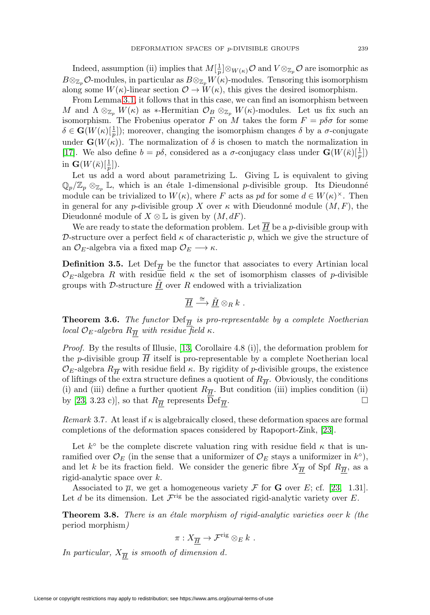Indeed, assumption (ii) implies that  $M[\frac{1}{p}]\otimes_{W(\kappa)}\mathcal{O}$  and  $V\otimes_{\mathbb{Z}_p}\mathcal{O}$  are isomorphic as  $B \otimes_{\mathbb{Z}_p} \mathcal{O}\text{-modules},$  in particular as  $B \otimes_{\mathbb{Z}_p} W(\kappa)$ -modules. Tensoring this isomorphism along some  $W(\kappa)$ -linear section  $\mathcal{O} \to W(\kappa)$ , this gives the desired isomorphism.

From Lemma [3.1,](#page-10-0) it follows that in this case, we can find an isomorphism between M and  $\Lambda \otimes_{\mathbb{Z}_p} W(\kappa)$  as \*-Hermitian  $\mathcal{O}_B \otimes_{\mathbb{Z}_p} W(\kappa)$ -modules. Let us fix such an isomorphism. The Frobenius operator F on M takes the form  $F = p\delta\sigma$  for some  $\delta \in \mathbf{G}(W(\kappa)[\frac{1}{p}])$ ; moreover, changing the isomorphism changes  $\delta$  by a  $\sigma$ -conjugate under  $\mathbf{G}(W(\kappa))$ . The normalization of  $\delta$  is chosen to match the normalization in [\[17\]](#page-32-6). We also define  $b = p\delta$ , considered as a  $\sigma$ -conjugacy class under  $\mathbf{G}(W(\bar{\kappa})[\frac{1}{p}])$ in  $\mathbf{G}(W(\bar{\kappa})[\frac{1}{p}]).$ 

Let us add a word about parametrizing  $\mathbb{L}$ . Giving  $\mathbb{L}$  is equivalent to giving  $\mathbb{Q}_p/\mathbb{Z}_p \otimes_{\mathbb{Z}_p} \mathbb{L}$ , which is an étale 1-dimensional p-divisible group. Its Dieudonné module can be trivialized to  $W(\kappa)$ , where F acts as pd for some  $d \in W(\kappa)^{\times}$ . Then in general for any p-divisible group X over  $\kappa$  with Dieudonné module  $(M,F)$ , the Dieudonné module of  $X \otimes \mathbb{L}$  is given by  $(M, dF)$ .

We are ready to state the deformation problem. Let  $\overline{H}$  be a p-divisible group with D-structure over a perfect field  $\kappa$  of characteristic p, which we give the structure of an  $\mathcal{O}_E$ -algebra via a fixed map  $\mathcal{O}_E \longrightarrow \kappa$ .

**Definition 3.5.** Let  $\text{Def}_{\overline{H}}$  be the functor that associates to every Artinian local  $\mathcal{O}_E$ -algebra R with residue field  $\kappa$  the set of isomorphism classes of p-divisible groups with  $D$ -structure  $\underline{H}$  over  $R$  endowed with a trivialization

$$
\overline{\underline{H}} \stackrel{\cong}{\longrightarrow} \underline{\tilde{H}} \otimes_R k \ .
$$

**Theorem 3.6.** The functor  $\text{Def}_{\overline{H}}$  is pro-representable by a complete Noetherian local  $\mathcal{O}_E$ -algebra  $R_{\overline{H}}$  with residue field  $\kappa$ .

*Proof.* By the results of Illusie, [\[13,](#page-32-13) Corollaire 4.8 (i)], the deformation problem for the p-divisible group  $H$  itself is pro-representable by a complete Noetherian local  $\mathcal{O}_E$ -algebra  $R_{\overline{H}}$  with residue field  $\kappa$ . By rigidity of p-divisible groups, the existence of liftings of the extra structure defines a quotient of  $R_{\overline{H}}$ . Obviously, the conditions (i) and (iii) define a further quotient  $R_{\overline{H}}$ . But condition (iii) implies condition (ii) by [\[23,](#page-32-8) 3.23 c)], so that  $R_{\overline{H}}$  represents Def<sub> $\overline{H}$ </sub>. Ц

Remark 3.7. At least if  $\kappa$  is algebraically closed, these deformation spaces are formal completions of the deformation spaces considered by Rapoport-Zink, [\[23\]](#page-32-8).

Let  $k^{\circ}$  be the complete discrete valuation ring with residue field  $\kappa$  that is unramified over  $\mathcal{O}_E$  (in the sense that a uniformizer of  $\mathcal{O}_E$  stays a uniformizer in  $k^{\circ}$ ), and let k be its fraction field. We consider the generic fibre  $X_{\overline{H}}$  of Spf  $R_{\overline{H}}$ , as a rigid-analytic space over k.

Associated to  $\overline{\mu}$ , we get a homogeneous variety  $\mathcal F$  for **G** over E; cf. [\[23,](#page-32-8) 1.31]. Let d be its dimension. Let  $\mathcal{F}^{\text{rig}}$  be the associated rigid-analytic variety over E.

**Theorem 3.8.** There is an étale morphism of rigid-analytic varieties over  $k$  (the period morphism)

$$
\pi: X_{\overline{H}} \to \mathcal{F}^{\text{rig}} \otimes_E k \ .
$$

In particular,  $X_{\overline{H}}$  is smooth of dimension d.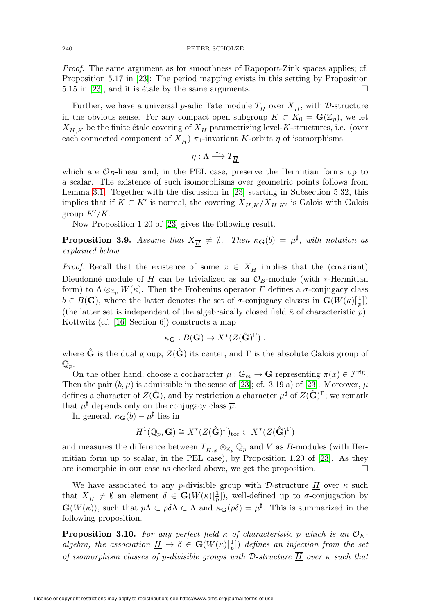Proof. The same argument as for smoothness of Rapoport-Zink spaces applies; cf. Proposition 5.17 in [\[23\]](#page-32-8): The period mapping exists in this setting by Proposition 5.15 in [\[23\]](#page-32-8), and it is étale by the same arguments.  $\Box$ 

Further, we have a universal p-adic Tate module  $T_{\overline{H}}$  over  $X_{\overline{H}}$ , with D-structure in the obvious sense. For any compact open subgroup  $K \subset K_0 = \mathbf{G}(\mathbb{Z}_p)$ , we let  $X_{\overline{H},K}$  be the finite étale covering of  $X_{\overline{H}}$  parametrizing level-K-structures, i.e. (over each connected component of  $X_{\overline{H}}$ )  $\pi_1$ -invariant K-orbits  $\overline{\eta}$  of isomorphisms

 $\eta : \Lambda \stackrel{\sim}{\longrightarrow} T_{\overline{H}}$ 

which are  $\mathcal{O}_B$ -linear and, in the PEL case, preserve the Hermitian forms up to a scalar. The existence of such isomorphisms over geometric points follows from Lemma [3.1.](#page-10-0) Together with the discussion in [\[23\]](#page-32-8) starting in Subsection 5.32, this implies that if  $K \subset K'$  is normal, the covering  $X_{\overline{H},K}/X_{\overline{H},K'}$  is Galois with Galois group  $K'/K$ .

Now Proposition 1.20 of [\[23\]](#page-32-8) gives the following result.

**Proposition 3.9.** Assume that  $X_{\overline{H}} \neq \emptyset$ . Then  $\kappa_{\mathbf{G}}(b) = \mu^{\sharp}$ , with notation as explained below.

*Proof.* Recall that the existence of some  $x \in X_{\overline{H}}$  implies that the (covariant) Dieudonné module of  $\overline{H}$  can be trivialized as an  $\mathcal{O}_B$ -module (with ∗-Hermitian form) to  $\Lambda \otimes_{\mathbb{Z}_n} W(\kappa)$ . Then the Frobenius operator F defines a  $\sigma$ -conjugacy class  $b \in B(\mathbf{G})$ , where the latter denotes the set of  $\sigma$ -conjugacy classes in  $\mathbf{G}(W(\bar{\kappa})[\frac{1}{p}])$ (the latter set is independent of the algebraically closed field  $\bar{\kappa}$  of characteristic p). Kottwitz (cf. [\[16,](#page-32-14) Section 6]) constructs a map

$$
\kappa_{\mathbf{G}} : B(\mathbf{G}) \to X^*(Z(\hat{\mathbf{G}})^{\Gamma}) ,
$$

where  $\hat{G}$  is the dual group,  $Z(\hat{G})$  its center, and  $\Gamma$  is the absolute Galois group of  $\mathbb{Q}_p$ .

On the other hand, choose a cocharacter  $\mu : \mathbb{G}_m \to \mathbf{G}$  representing  $\pi(x) \in \mathcal{F}^{\text{rig}}$ . Then the pair  $(b, \mu)$  is admissible in the sense of [\[23\]](#page-32-8); cf. 3.19 a) of [23]. Moreover,  $\mu$ defines a character of  $Z(\hat{\mathbf{G}})$ , and by restriction a character  $\mu^{\sharp}$  of  $Z(\hat{\mathbf{G}})^{\Gamma}$ ; we remark that  $\mu^{\sharp}$  depends only on the conjugacy class  $\overline{\mu}$ .

In general,  $\kappa_{\mathbf{G}}(b) - \mu^{\sharp}$  lies in

$$
H^1(\mathbb{Q}_p, \mathbf{G}) \cong X^*(Z(\hat{\mathbf{G}})^{\Gamma})_{\text{tor}} \subset X^*(Z(\hat{\mathbf{G}})^{\Gamma})
$$

and measures the difference between  $T_{\overline{H},x} \otimes_{\mathbb{Z}_p} \mathbb{Q}_p$  and V as B-modules (with Hermitian form up to scalar, in the PEL case), by Proposition 1.20 of [\[23\]](#page-32-8). As they are isomorphic in our case as checked above, we get the proposition.  $\Box$ 

We have associated to any p-divisible group with D-structure  $\overline{H}$  over  $\kappa$  such that  $X_{\overline{H}} \neq \emptyset$  an element  $\delta \in \mathbf{G}(W(\kappa)[\frac{1}{p}])$ , well-defined up to  $\sigma$ -conjugation by  $\mathbf{G}(W(\kappa))$ , such that  $p\Lambda \subset p\delta\Lambda \subset \Lambda$  and  $\kappa_{\mathbf{G}}(p\delta) = \mu^{\sharp}$ . This is summarized in the following proposition.

<span id="page-13-0"></span>**Proposition 3.10.** For any perfect field  $\kappa$  of characteristic p which is an  $\mathcal{O}_E$ . algebra, the association  $\overline{\underline{H}} \mapsto \delta \in \mathbf{G}(W(\kappa)[\frac{1}{p}])$  defines an injection from the set of isomorphism classes of p-divisible groups with D-structure  $\overline{H}$  over  $\kappa$  such that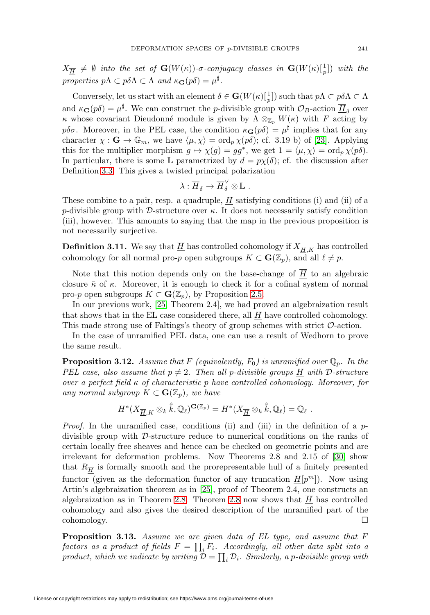$X_{\overline{\bm{H}}}$   $\neq$   $\emptyset$  into the set of  $\mathbf{G}(W(\kappa))$ - $\sigma$ -conjugacy classes in  $\mathbf{G}(W(\kappa)[\frac{1}{p}])$  with the properties  $p\Lambda \subset p\delta\Lambda \subset \Lambda$  and  $\kappa_{\mathbf{G}}(p\delta) = \mu^{\sharp}$ .

Conversely, let us start with an element  $\delta \in \mathbf{G}(W(\kappa)[\frac{1}{p}])$  such that  $p\Lambda \subset p\delta\Lambda \subset \Lambda$ and  $\kappa_{\bf G}(p\delta) = \mu^{\sharp}$ . We can construct the *p*-divisible group with  $\mathcal{O}_B$ -action  $\overline{H}_{\delta}$  over κ whose covariant Dieudonné module is given by  $\Lambda \otimes_{\mathbb{Z}_p} W(\kappa)$  with F acting by pδσ. Moreover, in the PEL case, the condition  $\kappa_{\bf G}(p\delta) = \mu^{\sharp}$  implies that for any character  $\chi : \mathbf{G} \to \mathbb{G}_m$ , we have  $\langle \mu, \chi \rangle = \text{ord}_p \chi(p\delta)$ ; cf. 3.19 b) of [\[23\]](#page-32-8). Applying this for the multiplier morphism  $g \mapsto \chi(g) = gg^*$ , we get  $1 = \langle \mu, \chi \rangle = \text{ord}_p \chi(p\delta)$ . In particular, there is some L parametrized by  $d = p\chi(\delta)$ ; cf. the discussion after Definition [3.3.](#page-11-0) This gives a twisted principal polarization

$$
\lambda:\overline{\underline{H}}_\delta\to\overline{\underline{H}}^\vee_\delta\otimes{\mathbb L}\,\,.
$$

These combine to a pair, resp. a quadruple,  $H$  satisfying conditions (i) and (ii) of a p-divisible group with D-structure over  $\kappa$ . It does not necessarily satisfy condition (iii), however. This amounts to saying that the map in the previous proposition is not necessarily surjective.

**Definition 3.11.** We say that  $\underline{H}$  has controlled cohomology if  $X_{\overline{H},K}$  has controlled cohomology for all normal pro-p open subgroups  $K \subset \mathbf{G}(\mathbb{Z}_p)$ , and all  $\ell \neq p$ .

Note that this notion depends only on the base-change of  $\overline{H}$  to an algebraic closure  $\bar{\kappa}$  of  $\kappa$ . Moreover, it is enough to check it for a cofinal system of normal pro-p open subgroups  $K \subset \mathbf{G}(\mathbb{Z}_p)$ , by Proposition [2.5.](#page-6-0)

In our previous work, [\[25,](#page-32-0) Theorem 2.4], we had proved an algebraization result that shows that in the EL case considered there, all  $\overline{H}$  have controlled cohomology. This made strong use of Faltings's theory of group schemes with strict O-action.

In the case of unramified PEL data, one can use a result of Wedhorn to prove the same result.

<span id="page-14-0"></span>**Proposition 3.12.** Assume that F (equivalently,  $F_0$ ) is unramified over  $\mathbb{Q}_p$ . In the PEL case, also assume that  $p \neq 2$ . Then all p-divisible groups  $\overline{H}$  with D-structure over a perfect field  $\kappa$  of characteristic p have controlled cohomology. Moreover, for any normal subgroup  $K \subset \mathbf{G}(\mathbb{Z}_p)$ , we have

$$
H^*(X_{\overline{\underline{H}},K}\otimes_k\hat{\overline{k}},\mathbb{Q}_\ell)^{\mathbf{G}(\mathbb{Z}_p)}=H^*(X_{\overline{\underline{H}}}\otimes_k\hat{\overline{k}},\mathbb{Q}_\ell)=\mathbb{Q}_\ell.
$$

*Proof.* In the unramified case, conditions (ii) and (iii) in the definition of a  $p$ divisible group with D-structure reduce to numerical conditions on the ranks of certain locally free sheaves and hence can be checked on geometric points and are irrelevant for deformation problems. Now Theorems 2.8 and 2.15 of [\[30\]](#page-32-9) show that  $R_{\overline{H}}$  is formally smooth and the prorepresentable hull of a finitely presented functor (given as the deformation functor of any truncation  $\overline{H}[p^m]$ ). Now using Artin's algebraization theorem as in [\[25\]](#page-32-0), proof of Theorem 2.4, one constructs an algebraization as in Theorem [2.8.](#page-8-0) Theorem [2.8](#page-8-0) now shows that  $\overline{H}$  has controlled cohomology and also gives the desired description of the unramified part of the  $\Box$  cohomology.

<span id="page-14-1"></span>**Proposition 3.13.** Assume we are given data of EL type, and assume that F factors as a product of fields  $F = \prod_i F_i$ . Accordingly, all other data split into a product, which we indicate by writing  $\mathcal{D} = \prod_i \mathcal{D}_i$ . Similarly, a p-divisible group with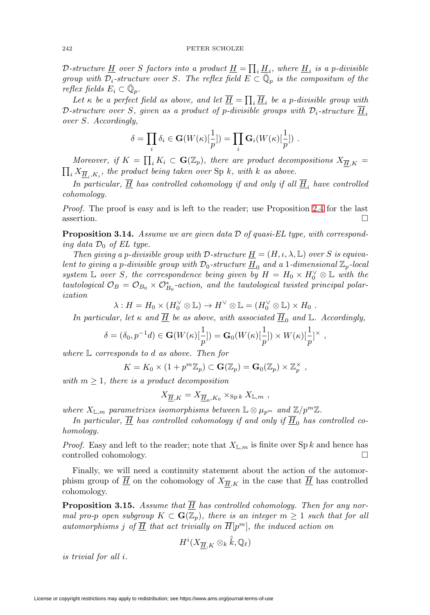D-structure <u>H</u> over S factors into a product <u>H</u> =  $\prod_i \underline{H}_i$ , where <u>H</u><sub>i</sub> is a p-divisible group with  $\mathcal{D}_i$ -structure over S. The reflex field  $E \subset \overline{\mathbb{Q}}_p$  is the compositum of the reflex fields  $E_i \subset \mathbb{Q}_p$ .

Let  $\kappa$  be a perfect field as above, and let  $\underline{H} = \prod_i \underline{H}_i$  be a p-divisible group with D-structure over S, given as a product of p-divisible groups with  $\mathcal{D}_i$ -structure  $\underline{H}_i$ over S. Accordingly,

$$
\delta = \prod_i \delta_i \in \mathbf{G}(W(\kappa)[\frac{1}{p}]) = \prod_i \mathbf{G}_i(W(\kappa)[\frac{1}{p}]) .
$$

Moreover, if  $K = \prod_i K_i \subset \mathbf{G}(\mathbb{Z}_p)$ , there are product decompositions  $X_{\overline{H},K} =$  $\prod_i X_{\overline{\underline{H}}_i,K_i}$ , the product being taken over Sp k, with k as above.

In particular,  $\overline{H}$  has controlled cohomology if and only if all  $\overline{H}_i$  have controlled cohomology.

Proof. The proof is easy and is left to the reader; use Proposition [2.4](#page-6-1) for the last assertion.  $\Box$  $\Box$ 

<span id="page-15-1"></span>**Proposition 3.14.** Assume we are given data D of quasi-EL type, with corresponding data  $\mathcal{D}_0$  of EL type.

Then giving a p-divisible group with D-structure  $\underline{H} = (H, \iota, \lambda, \mathbb{L})$  over S is equivalent to giving a p-divisible group with  $\mathcal{D}_0$ -structure  $\underline{H}_0$  and a 1-dimensional  $\mathbb{Z}_p$ -local system  $\mathbb L$  over S, the correspondence being given by  $H = H_0 \times H_0^{\vee} \otimes \mathbb L$  with the tautological  $\mathcal{O}_B = \mathcal{O}_{B_0} \times \mathcal{O}_{B_0}^*$ -action, and the tautological twisted principal polarization

 $\lambda: H = H_0 \times (H_0^{\vee} \otimes \mathbb{L}) \to H^{\vee} \otimes \mathbb{L} = (H_0^{\vee} \otimes \mathbb{L}) \times H_0.$ 

In particular, let  $\kappa$  and  $\overline{H}$  be as above, with associated  $\overline{H}_0$  and L. Accordingly,

$$
\delta = (\delta_0, p^{-1}d) \in \mathbf{G}(W(\kappa)[\frac{1}{p}]) = \mathbf{G}_0(W(\kappa)[\frac{1}{p}]) \times W(\kappa)[\frac{1}{p}]^{\times},
$$

where L corresponds to d as above. Then for

$$
K = K_0 \times (1 + p^m \mathbb{Z}_p) \subset \mathbf{G}(\mathbb{Z}_p) = \mathbf{G}_0(\mathbb{Z}_p) \times \mathbb{Z}_p^{\times},
$$

with  $m \geq 1$ , there is a product decomposition

$$
X_{\overline{\underline{H}},K} = X_{\overline{\underline{H}}_0,K_0} \times_{\mathrm{Sp} k} X_{\mathbb{L},m} ,
$$

where  $X_{\mathbb{L},m}$  parametrizes isomorphisms between  $\mathbb{L} \otimes \mu_{p^m}$  and  $\mathbb{Z}/p^m\mathbb{Z}$ .

In particular,  $\overline{H}$  has controlled cohomology if and only if  $\overline{H}_0$  has controlled cohomology.

*Proof.* Easy and left to the reader; note that  $X_{\mathbb{L},m}$  is finite over Sp k and hence has controlled cohomology.  $\Box$ 

Finally, we will need a continuity statement about the action of the automorphism group of  $\underline{H}$  on the cohomology of  $X_{\overline{H},K}$  in the case that  $\underline{H}$  has controlled cohomology.

<span id="page-15-0"></span>**Proposition 3.15.** Assume that  $\overline{H}$  has controlled cohomology. Then for any normal pro-p open subgroup  $K \subset \mathbf{G}(\mathbb{Z}_p)$ , there is an integer  $m \geq 1$  such that for all automorphisms j of  $\overline{H}$  that act trivially on  $\overline{H}[p^m]$ , the induced action on

$$
H^i(X_{\overline{\underline{H}}, K}\otimes_k \hat{\bar{k}}, \mathbb{Q}_\ell)
$$

is trivial for all i.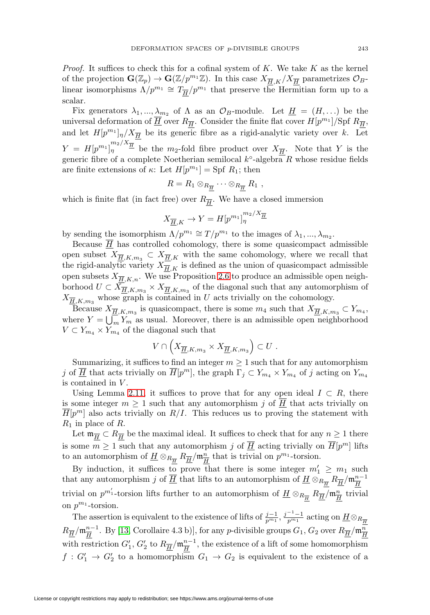*Proof.* It suffices to check this for a cofinal system of K. We take K as the kernel of the projection  $\mathbf{G}(\mathbb{Z}_p) \to \mathbf{G}(\mathbb{Z}/p^{m_1}\mathbb{Z})$ . In this case  $X_{\overline{H},K}/X_{\overline{H}}$  parametrizes  $\mathcal{O}_B$ linear isomorphisms  $\Lambda/p^{m_1} \cong T_{\overline{H}}/p^{m_1}$  that preserve the Hermitian form up to a scalar.

Fix generators  $\lambda_1, ..., \lambda_{m_2}$  of  $\Lambda$  as an  $\mathcal{O}_B$ -module. Let  $\underline{H} = (H, ...)$  be the universal deformation of  $\overline{H}$  over  $R_{\overline{H}}$ . Consider the finite flat cover  $H[p^{m_1}]/\text{Spf } R_{\overline{H}}$ , and let  $H[p^{m_1}]_{\eta}/X_{\overline{H}}$  be its generic fibre as a rigid-analytic variety over k. Let  $Y = H[p^{m_1}]_{\eta}^{m_2/X_{\overline{H}}}\;$  be the  $m_2$ -fold fibre product over  $X_{\overline{H}}$ . Note that Y is the generic fibre of a complete Noetherian semilocal  $k^{\circ}$ -algebra R whose residue fields are finite extensions of  $\kappa$ : Let  $H[p^{m_1}] = Spf R_1$ ; then

$$
R=R_1\otimes_{R_{\overline{H}}} \cdots \otimes_{R_{\overline{H}}} R_1,
$$

which is finite flat (in fact free) over  $R_{\overline{H}}$ . We have a closed immersion

$$
X_{\overline{\underline{H}},K} \to Y = H[p^{m_1}]_{\eta}^{m_2/X_{\overline{\underline{H}}}}
$$

by sending the isomorphism  $\Lambda/p^{m_1} \cong T/p^{m_1}$  to the images of  $\lambda_1, ..., \lambda_{m_2}$ .

Because  $\overline{H}$  has controlled cohomology, there is some quasicompact admissible open subset  $X_{\overline{H},K,m_3} \subset X_{\overline{H},K}$  with the same cohomology, where we recall that the rigid-analytic variety  $X_{\overline{H},K}$  is defined as the union of quasicompact admissible open subsets  $X_{\overline{H},K,n}$ . We use Proposition [2.6](#page-7-0) to produce an admissible open neighborhood  $U \subset X_{\overline{\underline{H}},K,m_3} \times X_{\overline{\underline{H}},K,m_3}$  of the diagonal such that any automorphism of  $X_{\overline{\underline{H}},K,m_3}$  whose graph is contained in U acts trivially on the cohomology.

Because  $X_{\overline{H},K,m_3}$  is quasicompact, there is some  $m_4$  such that  $X_{\overline{H},K,m_3} \subset Y_{m_4}$ , where  $Y = \bigcup_m Y_m$  as usual. Moreover, there is an admissible open neighborhood  $V \subset Y_{m_4} \times Y_{m_4}$  of the diagonal such that

$$
V \cap \left( X_{\overline{\underline{H}},K,m_3} \times X_{\overline{\underline{H}},K,m_3} \right) \subset U .
$$

Summarizing, it suffices to find an integer  $m \geq 1$  such that for any automorphism j of  $\overline{H}$  that acts trivially on  $\overline{H}[p^m]$ , the graph  $\Gamma_j \subset Y_{m_4} \times Y_{m_4}$  of j acting on  $Y_{m_4}$ is contained in V .

Using Lemma [2.11,](#page-9-1) it suffices to prove that for any open ideal  $I \subset R$ , there is some integer  $m \geq 1$  such that any automorphism j of  $\underline{H}$  that acts trivially on  $H[p^m]$  also acts trivially on  $R/I$ . This reduces us to proving the statement with  $R_1$  in place of R.

Let  $\mathfrak{m}_{\overline{H}} \subset R_{\overline{H}}$  be the maximal ideal. It suffices to check that for any  $n \geq 1$  there is some  $m \geq 1$  such that any automorphism j of  $\overline{H}$  acting trivially on  $\overline{H}[p^m]$  lifts to an automorphism of  $\underline{H} \otimes_{R_{\overline{H}}} R_{\overline{H}} / \mathfrak{m}_{\overline{H}}^n$  that is trivial on  $p^{m_1}$ -torsion.

By induction, it suffices to prove that there is some integer  $m'_1 \geq m_1$  such that any automorphism  $j$  of  $\overline{H}$  that lifts to an automorphism of  $\underline{H}\otimes_{R_{\overline{H}}}R_{\overline{H}}/m_{\overline{H}}^{n-1}$ trivial on  $p^{m'_1}$ -torsion lifts further to an automorphism of  $\underline{H} \otimes_{R_{\overline{H}}} R_{\overline{H}}/\mathfrak{m}_{\overline{H}}^n$  trivial on  $p^{m_1}$ -torsion.

The assertion is equivalent to the existence of lifts of  $\frac{j-1}{p^{m_1}}$ ,  $\frac{j-1}{p^{m_1}}$  acting on  $\underline{H} \otimes_{R_{\overline{H}}}$  $R_{\overline{\overline{H}}}/\mathfrak{m}_{\overline{H}}^{n-1}$ . By [\[13,](#page-32-13) Corollaire 4.3 b)], for any  $p$ -divisible groups  $G_1,$   $G_2$  over  $R_{\overline{\overline{H}}}/\mathfrak{m}_{\overline{H}}^n$ with restriction  $G'_1$ ,  $G'_2$  to  $R_{\overline{H}}/\mathfrak{m}_{\overline{H}}^{n-1}$ , the existence of a lift of some homomorphism  $f: G_1' \to G_2'$  to a homomorphism  $G_1 \to G_2$  is equivalent to the existence of a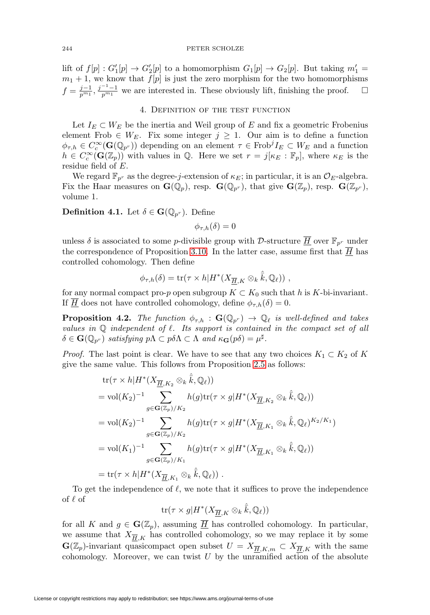lift of  $f[p] : G'_{1}[p] \to G'_{2}[p]$  to a homomorphism  $G_{1}[p] \to G_{2}[p]$ . But taking  $m'_{1} =$  $m_1 + 1$ , we know that  $f[p]$  is just the zero morphism for the two homomorphisms  $f = \frac{j-1}{p^{m_1}}$ ,  $\frac{j^{-1}-1}{p^{m_1}}$  we are interested in. These obviously lift, finishing the proof.  $\Box$  $\Box$ 

## 4. Definition of the test function

<span id="page-17-0"></span>Let  $I_E \subset W_E$  be the inertia and Weil group of E and fix a geometric Frobenius element Frob  $\in W_E$ . Fix some integer  $j \geq 1$ . Our aim is to define a function  $\phi_{\tau,h} \in C_c^{\infty}(\mathbf{G}(\mathbb{Q}_{p^r}))$  depending on an element  $\tau \in \text{Frob}^j I_E \subset W_E$  and a function  $h \in C_c^{\infty}(\mathbf{G}(\mathbb{Z}_p))$  with values in  $\mathbb{Q}$ . Here we set  $r = j[\kappa_E : \mathbb{F}_p]$ , where  $\kappa_E$  is the residue field of E.

We regard  $\mathbb{F}_{p^r}$  as the degree-j-extension of  $\kappa_E$ ; in particular, it is an  $\mathcal{O}_E$ -algebra. Fix the Haar measures on  $\mathbf{G}(\mathbb{Q}_p)$ , resp.  $\mathbf{G}(\mathbb{Q}_{p^r})$ , that give  $\mathbf{G}(\mathbb{Z}_p)$ , resp.  $\mathbf{G}(\mathbb{Z}_{p^r})$ , volume 1.

**Definition 4.1.** Let  $\delta \in \mathbf{G}(\mathbb{Q}_{p^r})$ . Define

 $\phi_{\tau,h}(\delta)=0$ 

unless  $\delta$  is associated to some *p*-divisible group with D-structure  $\overline{H}$  over  $\mathbb{F}_{p^r}$  under the correspondence of Proposition [3.10.](#page-13-0) In the latter case, assume first that  $H$  has controlled cohomology. Then define

$$
\phi_{\tau,h}(\delta) = \text{tr}(\tau \times h | H^*(X_{\overline{H},K} \otimes_k \hat{\overline{k}}, \mathbb{Q}_\ell)) ,
$$

for any normal compact pro-p open subgroup  $K \subset K_0$  such that h is K-bi-invariant. If  $\overline{H}$  does not have controlled cohomology, define  $\phi_{\tau,h}(\delta) = 0$ .

**Proposition 4.2.** The function  $\phi_{\tau,h}$ :  $\mathbf{G}(\mathbb{Q}_{p^r}) \to \mathbb{Q}_\ell$  is well-defined and takes values in  $Q$  independent of  $\ell$ . Its support is contained in the compact set of all  $\delta \in \mathbf{G}(\mathbb{Q}_{p^r})$  satisfying  $p\Lambda \subset p\delta\Lambda \subset \Lambda$  and  $\kappa_{\mathbf{G}}(p\delta) = \mu^{\sharp}$ .

*Proof.* The last point is clear. We have to see that any two choices  $K_1 \subset K_2$  of K give the same value. This follows from Proposition [2.5](#page-6-0) as follows:

tr
$$
tr(\tau \times h|H^*(X_{\overline{\underline{H}},K_2} \otimes_k \hat{\overline{k}}, \mathbb{Q}_\ell))
$$
  
= vol $(K_2)^{-1}$   $\sum_{g \in \mathbf{G}(\mathbb{Z}_p)/K_2} h(g)tr(\tau \times g|H^*(X_{\overline{\underline{H}},K_2} \otimes_k \hat{\overline{k}}, \mathbb{Q}_\ell))$   
= vol $(K_2)^{-1}$   $\sum_{g \in \mathbf{G}(\mathbb{Z}_p)/K_2} h(g)tr(\tau \times g|H^*(X_{\overline{\underline{H}},K_1} \otimes_k \hat{\overline{k}}, \mathbb{Q}_\ell)^{K_2/K_1})$   
= vol $(K_1)^{-1}$   $\sum_{g \in \mathbf{G}(\mathbb{Z}_p)/K_1} h(g)tr(\tau \times g|H^*(X_{\overline{\underline{H}},K_1} \otimes_k \hat{\overline{k}}, \mathbb{Q}_\ell))$   
= tr $(\tau \times h|H^*(X_{\overline{\underline{H}},K_1} \otimes_k \hat{\overline{k}}, \mathbb{Q}_\ell))$ .

To get the independence of  $\ell$ , we note that it suffices to prove the independence of  $\ell$  of

$$
\text{tr}(\tau \times g | H^*(X_{\overline{\underline{H}}, K} \otimes_k \hat{\bar{k}}, \mathbb{Q}_\ell))
$$

for all K and  $g \in \mathbf{G}(\mathbb{Z}_p)$ , assuming  $\overline{\underline{H}}$  has controlled cohomology. In particular, we assume that  $X_{\overline{H},K}$  has controlled cohomology, so we may replace it by some  $\mathbf{G}(\mathbb{Z}_p)$ -invariant quasicompact open subset  $U = X_{\overline{H},K,m} \subset X_{\overline{H},K}$  with the same cohomology. Moreover, we can twist  $U$  by the unramified action of the absolute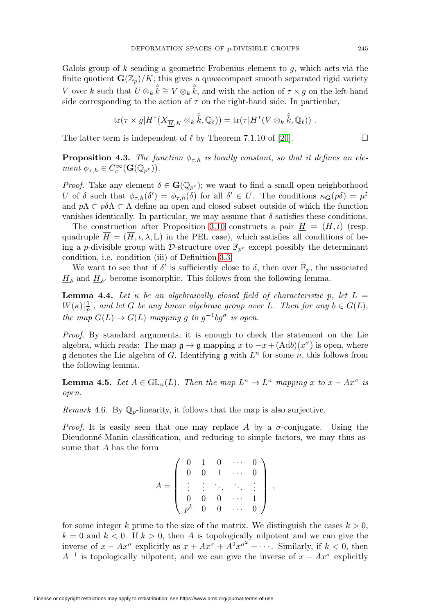Galois group of  $k$  sending a geometric Frobenius element to  $q$ , which acts via the finite quotient  $\mathbf{G}(\mathbb{Z}_p)/K$ ; this gives a quasicompact smooth separated rigid variety V over k such that  $U \otimes_k \hat{k} \cong V \otimes_k \hat{k}$ , and with the action of  $\tau \times g$  on the left-hand side corresponding to the action of  $\tau$  on the right-hand side. In particular,

$$
\text{tr}(\tau \times g|H^*(X_{\overline{\underline{H}},K} \otimes_k \hat{\overline{k}},\mathbb{Q}_\ell)) = \text{tr}(\tau|H^*(V \otimes_k \hat{\overline{k}},\mathbb{Q}_\ell)) .
$$

The latter term is independent of  $\ell$  by Theorem 7.1.10 of [\[20\]](#page-32-15).

**Proposition 4.3.** The function  $\phi_{\tau,h}$  is locally constant, so that it defines an element  $\phi_{\tau,h} \in C_c^{\infty}(\mathbf{G}(\mathbb{Q}_{p^r})).$ 

*Proof.* Take any element  $\delta \in \mathbf{G}(\mathbb{Q}_{p^r})$ ; we want to find a small open neighborhood U of  $\delta$  such that  $\phi_{\tau,h}(\delta') = \phi_{\tau,h}(\delta)$  for all  $\delta' \in U$ . The conditions  $\kappa_{\mathbf{G}}(p\delta) = \mu^{\sharp}$ and  $p\Lambda \subset p\delta\Lambda \subset \Lambda$  define an open and closed subset outside of which the function vanishes identically. In particular, we may assume that  $\delta$  satisfies these conditions.

The construction after Proposition [3.10](#page-13-0) constructs a pair  $\overline{H} = (\overline{H}, \iota)$  (resp. quadruple  $\overline{H} = (\overline{H}, \iota, \lambda, \mathbb{L})$  in the PEL case), which satisfies all conditions of being a p-divisible group with D-structure over  $\mathbb{F}_{p^r}$  except possibly the determinant condition, i.e. condition (iii) of Definition [3.3.](#page-11-0)

We want to see that if  $\delta'$  is sufficiently close to  $\delta$ , then over  $\mathbb{F}_p$ , the associated  $H_{\delta}$  and  $H_{\delta'}$  become isomorphic. This follows from the following lemma.

**Lemma 4.4.** Let  $\kappa$  be an algebraically closed field of characteristic p, let  $L =$  $W(\kappa)[\frac{1}{p}]$ , and let G be any linear algebraic group over L. Then for any  $b \in G(L)$ , the map  $G(L) \to G(L)$  mapping g to  $g^{-1}bg^{\sigma}$  is open.

Proof. By standard arguments, it is enough to check the statement on the Lie algebra, which reads: The map  $\mathfrak{g} \to \mathfrak{g}$  mapping x to  $-x + (\text{Ad}b)(x^{\sigma})$  is open, where g denotes the Lie algebra of G. Identifying g with  $L^n$  for some n, this follows from the following lemma.

**Lemma 4.5.** Let  $A \in GL_n(L)$ . Then the map  $L^n \to L^n$  mapping x to  $x - Ax^{\sigma}$  is open.

Remark 4.6. By  $\mathbb{Q}_p$ -linearity, it follows that the map is also surjective.

*Proof.* It is easily seen that one may replace A by a  $\sigma$ -conjugate. Using the Dieudonné-Manin classification, and reducing to simple factors, we may thus assume that A has the form

$$
A = \left( \begin{array}{ccccc} 0 & 1 & 0 & \cdots & 0 \\ 0 & 0 & 1 & \cdots & 0 \\ \vdots & \vdots & \ddots & \ddots & \vdots \\ 0 & 0 & 0 & \cdots & 1 \\ p^k & 0 & 0 & \cdots & 0 \end{array} \right) ,
$$

for some integer k prime to the size of the matrix. We distinguish the cases  $k > 0$ ,  $k = 0$  and  $k < 0$ . If  $k > 0$ , then A is topologically nilpotent and we can give the inverse of  $x - Ax^{\sigma}$  explicitly as  $x + Ax^{\sigma} + A^2x^{\sigma^2} + \cdots$ . Similarly, if  $k < 0$ , then  $A^{-1}$  is topologically nilpotent, and we can give the inverse of  $x - Ax^{\sigma}$  explicitly

 $\Box$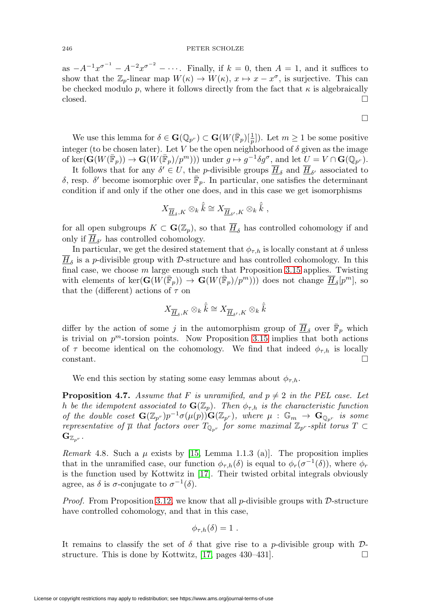as  $-A^{-1}x^{\sigma^{-1}}-A^{-2}x^{\sigma^{-2}}-\cdots$ . Finally, if  $k=0$ , then  $A=1$ , and it suffices to show that the  $\mathbb{Z}_p$ -linear map  $W(\kappa) \to W(\kappa)$ ,  $x \mapsto x - x^{\sigma}$ , is surjective. This can be checked modulo p, where it follows directly from the fact that  $\kappa$  is algebraically  $\Box$  $\Box$ 

We use this lemma for  $\delta \in \mathbf{G}(\mathbb{Q}_{p^r}) \subset \mathbf{G}(W(\overline{\mathbb{F}}_p)[\frac{1}{p}])$ . Let  $m \geq 1$  be some positive integer (to be chosen later). Let V be the open neighborhood of  $\delta$  given as the image of ker $(\mathbf{G}(W(\overline{\mathbb{F}}_p)) \to \mathbf{G}(W(\overline{\mathbb{F}}_p)/p^m))$  under  $g \mapsto g^{-1} \delta g^{\sigma}$ , and let  $U = V \cap \mathbf{G}(\mathbb{Q}_{p^r})$ .

 $\Box$ 

It follows that for any  $\delta' \in U$ , the *p*-divisible groups  $\underline{H}_{\delta}$  and  $\underline{H}_{\delta'}$  associated to δ, resp. δ' become isomorphic over  $\bar{\mathbb{F}}_p$ . In particular, one satisfies the determinant condition if and only if the other one does, and in this case we get isomorphisms

$$
X_{\underline{\overline{H}}_{\delta}, K} \otimes_{k} \hat{\overline{k}} \cong X_{\underline{\overline{H}}_{\delta'}, K} \otimes_{k} \hat{\overline{k}} ,
$$

for all open subgroups  $K \subset \mathbf{G}(\mathbb{Z}_p)$ , so that  $\overline{H}_{\delta}$  has controlled cohomology if and only if  $\underline{H}_{\delta'}$  has controlled cohomology.

In particular, we get the desired statement that  $\phi_{\tau,h}$  is locally constant at  $\delta$  unless  $\overline{H}_{\delta}$  is a p-divisible group with D-structure and has controlled cohomology. In this final case, we choose  $m$  large enough such that Proposition [3.15](#page-15-0) applies. Twisting with elements of ker $(\mathbf{G}(W(\bar{\mathbb{F}}_p)) \to \mathbf{G}(W(\bar{\mathbb{F}}_p)/p^m))$  does not change  $\overline{H}_{\delta}[p^m]$ , so that the (different) actions of  $\tau$  on

$$
X_{\overline{\underline{H}}_{\delta}, K} \otimes_k \hat{\bar{k}} \cong X_{\overline{\underline{H}}_{\delta'}, K} \otimes_k \hat{\bar{k}}
$$

differ by the action of some j in the automorphism group of  $\overline{H}_{\delta}$  over  $\overline{\mathbb{F}}_p$  which is trivial on  $p^m$ -torsion points. Now Proposition [3.15](#page-15-0) implies that both actions of  $\tau$  become identical on the cohomology. We find that indeed  $\phi_{\tau,h}$  is locally  $\Box$ constant.

We end this section by stating some easy lemmas about  $\phi_{\tau,h}$ .

**Proposition 4.7.** Assume that F is unramified, and  $p \neq 2$  in the PEL case. Let h be the idempotent associated to  $\mathbf{G}(\mathbb{Z}_p)$ . Then  $\phi_{\tau,h}$  is the characteristic function of the double coset  $\mathbf{G}(\mathbb{Z}_{p^r})p^{-1}\sigma(\mu(p))\mathbf{G}(\mathbb{Z}_{p^r})$ , where  $\mu: \mathbb{G}_m \to \mathbf{G}_{\mathbb{Q}_{p^r}}$  is some representative of  $\overline{\mu}$  that factors over  $T_{\mathbb{Q}_{n^r}}$  for some maximal  $\mathbb{Z}_{p^r}$ -split torus  $T \subset$  $\mathbf{G}_{\mathbb{Z}_{n^r}}$  .

Remark 4.8. Such a  $\mu$  exists by [\[15,](#page-32-16) Lemma 1.1.3 (a)]. The proposition implies that in the unramified case, our function  $\phi_{\tau,h}(\delta)$  is equal to  $\phi_r(\sigma^{-1}(\delta))$ , where  $\phi_r$ is the function used by Kottwitz in [\[17\]](#page-32-6). Their twisted orbital integrals obviously agree, as  $\delta$  is  $\sigma$ -conjugate to  $\sigma^{-1}(\delta)$ .

*Proof.* From Proposition [3.12,](#page-14-0) we know that all p-divisible groups with  $D$ -structure have controlled cohomology, and that in this case,

$$
\phi_{\tau,h}(\delta)=1.
$$

It remains to classify the set of  $\delta$  that give rise to a p-divisible group with  $\mathcal{D}$ -structure. This is done by Kottwitz, [\[17,](#page-32-6) pages  $430-431$ ].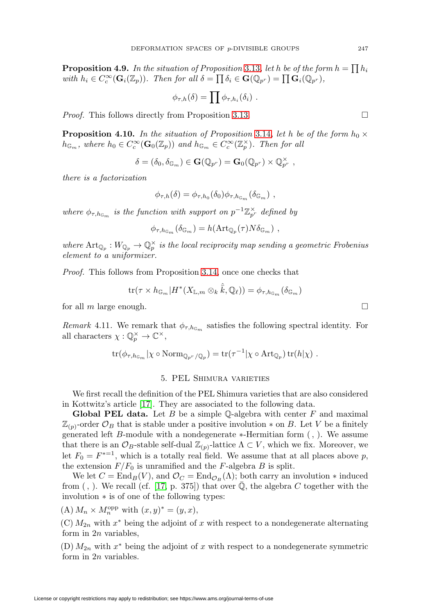**Proposition 4.9.** In the situation of Proposition [3.13](#page-14-1), let h be of the form  $h = \prod h_i$ with  $h_i \in C_c^{\infty}(\mathbf{G}_i(\mathbb{Z}_p))$ . Then for all  $\delta = \prod \delta_i \in \mathbf{G}(\mathbb{Q}_{p^r}) = \prod \mathbf{G}_i(\mathbb{Q}_{p^r}),$ 

$$
\phi_{\tau,h}(\delta) = \prod \phi_{\tau,h_i}(\delta_i) .
$$

*Proof.* This follows directly from Proposition [3.13.](#page-14-1)

**Proposition 4.10.** In the situation of Proposition [3.14](#page-15-1), let h be of the form  $h_0 \times$  $h_{\mathbb{G}_m}$ , where  $h_0 \in C_c^{\infty}(\mathbf{G}_0(\mathbb{Z}_p))$  and  $h_{\mathbb{G}_m} \in C_c^{\infty}(\mathbb{Z}_p^{\times})$ . Then for all

$$
\delta=(\delta_0,\delta_{\mathbb{G}_m})\in\mathbf{G}(\mathbb{Q}_{p^r})=\mathbf{G}_0(\mathbb{Q}_{p^r})\times\mathbb{Q}_{p^r}^{\times}\,\,,
$$

there is a factorization

$$
\phi_{\tau,h}(\delta) = \phi_{\tau,h_0}(\delta_0)\phi_{\tau,h_{\mathbb{G}_m}}(\delta_{\mathbb{G}_m}),
$$

where  $\phi_{\tau,h_{\mathbb{G}_m}}$  is the function with support on  $p^{-1}\mathbb{Z}_{p^r}^{\times}$  defined by

$$
\phi_{\tau,h_{\mathbb{G}_m}}(\delta_{\mathbb{G}_m}) = h(\mathrm{Art}_{\mathbb{Q}_p}(\tau)N\delta_{\mathbb{G}_m}),
$$

where  $\text{Art}_{\mathbb{Q}_p}: W_{\mathbb{Q}_p} \to \mathbb{Q}_p^{\times}$  is the local reciprocity map sending a geometric Frobenius element to a uniformizer.

Proof. This follows from Proposition [3.14,](#page-15-1) once one checks that

$$
\mathrm{tr}(\tau \times h_{\mathbb{G}_m}|H^*(X_{\mathbb{L}, m} \otimes_k \hat{\bar{k}}, \mathbb{Q}_\ell)) = \phi_{\tau, h_{\mathbb{G}_m}}(\delta_{\mathbb{G}_m})
$$

for all  $m$  large enough.

*Remark* 4.11. We remark that  $\phi_{\tau,h_{\mathbb{G}_m}}$  satisfies the following spectral identity. For all characters  $\chi : \mathbb{Q}_p^{\times} \to \mathbb{C}^{\times}$ ,

$$
\text{tr}(\phi_{\tau,h_{\mathbb{G}_m}}|\chi\circ \text{Norm}_{\mathbb{Q}_{p^r}/\mathbb{Q}_p})=\text{tr}(\tau^{-1}|\chi\circ \text{Art}_{\mathbb{Q}_p})\,\text{tr}(h|\chi).
$$

## 5. PEL Shimura varieties

<span id="page-20-0"></span>We first recall the definition of the PEL Shimura varieties that are also considered in Kottwitz's article [\[17\]](#page-32-6). They are associated to the following data.

**Global PEL data.** Let  $B$  be a simple  $\mathbb{Q}$ -algebra with center  $F$  and maximal  $\mathbb{Z}_{(p)}$ -order  $\mathcal{O}_B$  that is stable under a positive involution  $*$  on B. Let V be a finitely generated left B-module with a nondegenerate ∗-Hermitian form (, ). We assume that there is an  $\mathcal{O}_B$ -stable self-dual  $\mathbb{Z}_{(p)}$ -lattice  $\Lambda \subset V$ , which we fix. Moreover, we let  $F_0 = F^{*-1}$ , which is a totally real field. We assume that at all places above p, the extension  $F/F_0$  is unramified and the F-algebra B is split.

We let  $C = \text{End}_B(V)$ , and  $\mathcal{O}_C = \text{End}_{\mathcal{O}_B}(\Lambda)$ ; both carry an involution  $*$  induced from (, ). We recall (cf. [\[17,](#page-32-6) p. 375]) that over  $\overline{Q}$ , the algebra C together with the involution ∗ is of one of the following types:

(A)  $M_n \times M_n^{\text{opp}}$  with  $(x, y)^* = (y, x),$ 

 $(C)$   $M_{2n}$  with  $x^*$  being the adjoint of x with respect to a nondegenerate alternating form in  $2n$  variables,

(D)  $M_{2n}$  with  $x^*$  being the adjoint of x with respect to a nondegenerate symmetric form in 2n variables.

 $\Box$ 

 $\Box$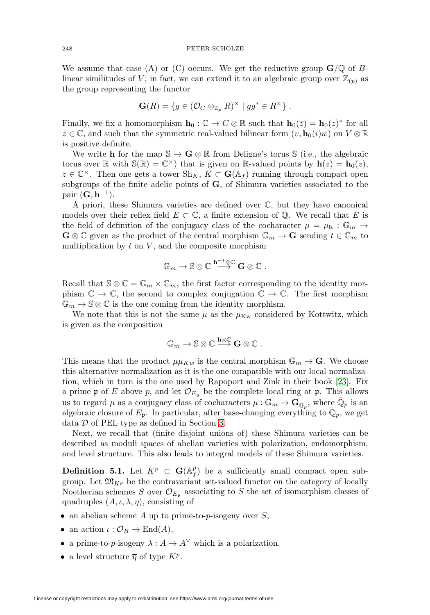We assume that case (A) or (C) occurs. We get the reductive group  $\mathbf{G}/\mathbb{Q}$  of Blinear similitudes of V; in fact, we can extend it to an algebraic group over  $\mathbb{Z}_{(p)}$  as the group representing the functor

$$
\mathbf{G}(R) = \{ g \in (\mathcal{O}_C \otimes_{\mathbb{Z}_p} R)^\times \mid gg^* \in R^\times \} .
$$

Finally, we fix a homomorphism  $\mathbf{h}_0 : \mathbb{C} \to C \otimes \mathbb{R}$  such that  $\mathbf{h}_0(\overline{z}) = \mathbf{h}_0(z)^*$  for all  $z \in \mathbb{C}$ , and such that the symmetric real-valued bilinear form  $(v, \mathbf{h}_0(i)w)$  on  $V \otimes \mathbb{R}$ is positive definite.

We write **h** for the map  $\mathbb{S} \to \mathbf{G} \otimes \mathbb{R}$  from Deligne's torus  $\mathbb{S}$  (i.e., the algebraic torus over  $\mathbb{R}$  with  $\mathbb{S}(\mathbb{R}) = \mathbb{C}^{\times}$  that is given on  $\mathbb{R}$ -valued points by  $\mathbf{h}(z) = \mathbf{h}_0(z)$ ,  $z \in \mathbb{C}^{\times}$ . Then one gets a tower  $\text{Sh}_K$ ,  $K \subset \mathbf{G}(\mathbb{A}_f)$  running through compact open subgroups of the finite adelic points of **G**, of Shimura varieties associated to the pair  $(G, h^{-1})$ .

A priori, these Shimura varieties are defined over C, but they have canonical models over their reflex field  $E \subset \mathbb{C}$ , a finite extension of  $\mathbb{Q}$ . We recall that E is the field of definition of the conjugacy class of the cocharacter  $\mu = \mu_{\mathbf{h}} : \mathbb{G}_m \to$  $\mathbf{G} \otimes \mathbb{C}$  given as the product of the central morphism  $\mathbb{G}_m \to \mathbf{G}$  sending  $t \in \mathbb{G}_m$  to multiplication by  $t$  on  $V$ , and the composite morphism

$$
\mathbb{G}_m \to \mathbb{S} \otimes \mathbb{C} \stackrel{\mathbf{h}^{-1} \otimes \mathbb{C}}{\longrightarrow} \mathbf{G} \otimes \mathbb{C} .
$$

Recall that  $\mathcal{S} \otimes \mathbb{C} = \mathbb{G}_m \times \mathbb{G}_m$ , the first factor corresponding to the identity morphism  $\mathbb{C} \to \mathbb{C}$ , the second to complex conjugation  $\mathbb{C} \to \mathbb{C}$ . The first morphism  $\mathbb{G}_m \to \mathbb{S} \otimes \mathbb{C}$  is the one coming from the identity morphism.

We note that this is not the same  $\mu$  as the  $\mu_{\text{Kw}}$  considered by Kottwitz, which is given as the composition

$$
\mathbb{G}_m \to \mathbb{S} \otimes \mathbb{C} \stackrel{\mathbf{h} \otimes \mathbb{C}}{\longrightarrow} \mathbf{G} \otimes \mathbb{C} \ .
$$

This means that the product  $\mu_{Kw}$  is the central morphism  $\mathbb{G}_m \to \mathbf{G}$ . We choose this alternative normalization as it is the one compatible with our local normalization, which in turn is the one used by Rapoport and Zink in their book [\[23\]](#page-32-8). Fix a prime p of E above p, and let  $\mathcal{O}_{E_p}$  be the complete local ring at p. This allows us to regard  $\mu$  as a conjugacy class of cocharacters  $\mu : \mathbb{G}_m \to \mathbf{G}_{\bar{\mathbb{O}}_n}$ , where  $\mathbb{Q}_p$  is an algebraic closure of  $E_p$ . In particular, after base-changing everything to  $\mathbb{Q}_p$ , we get data D of PEL type as defined in Section [3.](#page-9-0)

Next, we recall that (finite disjoint unions of) these Shimura varieties can be described as moduli spaces of abelian varieties with polarization, endomorphism, and level structure. This also leads to integral models of these Shimura varieties.

**Definition 5.1.** Let  $K^p \subset \mathbf{G}(\mathbb{A}_f^p)$  be a sufficiently small compact open subgroup. Let  $\mathfrak{M}_{K^p}$  be the contravariant set-valued functor on the category of locally Noetherian schemes S over  $\mathcal{O}_{E_{\mathfrak{p}}}$  associating to S the set of isomorphism classes of quadruples  $(A, \iota, \lambda, \overline{\eta})$ , consisting of

- an abelian scheme  $A$  up to prime-to- $p$ -isogeny over  $S$ ,
- an action  $\iota : \mathcal{O}_B \to \text{End}(A),$
- a prime-to-p-isogeny  $\lambda : A \to A^{\vee}$  which is a polarization,
- a level structure  $\overline{\eta}$  of type  $K^p$ .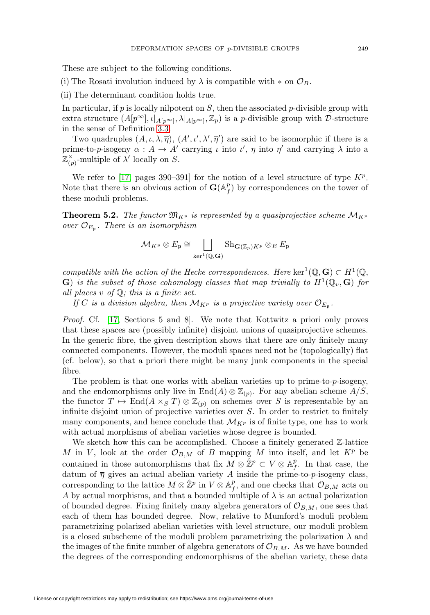These are subject to the following conditions.

(i) The Rosati involution induced by  $\lambda$  is compatible with  $*$  on  $\mathcal{O}_B$ .

(ii) The determinant condition holds true.

In particular, if  $p$  is locally nilpotent on  $S$ , then the associated  $p$ -divisible group with extra structure  $(A[p^{\infty}], \iota|_{A[p^{\infty}]}, \lambda|_{A[p^{\infty}]}, \mathbb{Z}_p)$  is a *p*-divisible group with *D*-structure in the sense of Definition [3.3.](#page-11-0)

Two quadruples  $(A, \iota, \lambda, \overline{\eta}), (A', \iota', \lambda', \overline{\eta}')$  are said to be isomorphic if there is a prime-to-p-isogeny  $\alpha: A \to A'$  carrying  $\iota$  into  $\iota', \overline{\eta}$  into  $\overline{\eta}'$  and carrying  $\lambda$  into a  $\mathbb{Z}_{(p)}^{\times}$ -multiple of  $\lambda'$  locally on S.

We refer to [\[17,](#page-32-6) pages 390–391] for the notion of a level structure of type  $K^p$ . Note that there is an obvious action of  $\mathbf{G}(\mathbb{A}_f^p)$  by correspondences on the tower of these moduli problems.

<span id="page-22-0"></span>**Theorem 5.2.** The functor  $\mathfrak{M}_{K^p}$  is represented by a quasiprojective scheme  $\mathcal{M}_{K^p}$ over  $\mathcal{O}_{E_{p}}$ . There is an isomorphism

$$
\mathcal{M}_{K^p} \otimes E_{\mathfrak{p}} \cong \bigsqcup_{\ker^1(\mathbb{Q},\mathbf{G})} \mathrm{Sh}_{\mathbf{G}(\mathbb{Z}_p)K^p} \otimes_E E_{\mathfrak{p}}
$$

compatible with the action of the Hecke correspondences. Here ker<sup>1</sup>( $\mathbb{Q}, \mathbf{G}$ ) ⊂ H<sup>1</sup>( $\mathbb{Q},$ **G**) is the subset of those cohomology classes that map trivially to  $H^1(\mathbb{Q}_v, \mathbf{G})$  for all places  $v$  of  $\mathbb{Q}$ ; this is a finite set.

If C is a division algebra, then  $\mathcal{M}_{K^p}$  is a projective variety over  $\mathcal{O}_{E_p}$ .

Proof. Cf. [\[17,](#page-32-6) Sections 5 and 8]. We note that Kottwitz a priori only proves that these spaces are (possibly infinite) disjoint unions of quasiprojective schemes. In the generic fibre, the given description shows that there are only finitely many connected components. However, the moduli spaces need not be (topologically) flat (cf. below), so that a priori there might be many junk components in the special fibre.

The problem is that one works with abelian varieties up to prime-to-p-isogeny, and the endomorphisms only live in  $\text{End}(A) \otimes \mathbb{Z}_{(p)}$ . For any abelian scheme  $A/S$ , the functor  $T \mapsto \text{End}(A \times_S T) \otimes \mathbb{Z}_{(p)}$  on schemes over S is representable by an infinite disjoint union of projective varieties over S. In order to restrict to finitely many components, and hence conclude that  $\mathcal{M}_{K^p}$  is of finite type, one has to work with actual morphisms of abelian varieties whose degree is bounded.

We sketch how this can be accomplished. Choose a finitely generated  $\mathbb{Z}$ -lattice M in V, look at the order  $\mathcal{O}_{B,M}$  of B mapping M into itself, and let  $K^p$  be contained in those automorphisms that fix  $M \otimes \hat{\mathbb{Z}}^p \subset V \otimes \mathbb{A}_f^p$ . In that case, the datum of  $\overline{\eta}$  gives an actual abelian variety A inside the prime-to-p-isogeny class, corresponding to the lattice  $M \otimes \hat{\mathbb{Z}}^p$  in  $V \otimes \mathbb{A}_f^p$ , and one checks that  $\mathcal{O}_{B,M}$  acts on A by actual morphisms, and that a bounded multiple of  $\lambda$  is an actual polarization of bounded degree. Fixing finitely many algebra generators of  $\mathcal{O}_{B,M}$ , one sees that each of them has bounded degree. Now, relative to Mumford's moduli problem parametrizing polarized abelian varieties with level structure, our moduli problem is a closed subscheme of the moduli problem parametrizing the polarization  $\lambda$  and the images of the finite number of algebra generators of  $\mathcal{O}_{B,M}$ . As we have bounded the degrees of the corresponding endomorphisms of the abelian variety, these data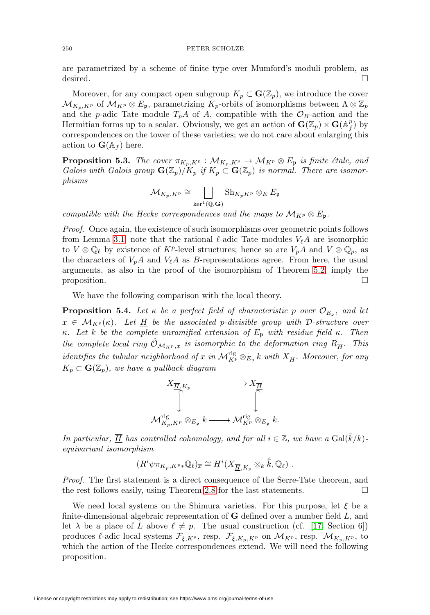are parametrized by a scheme of finite type over Mumford's moduli problem, as desired.  $\Box$ 

Moreover, for any compact open subgroup  $K_p \subset \mathbf{G}(\mathbb{Z}_p)$ , we introduce the cover  $\mathcal{M}_{K_p,K^p}$  of  $\mathcal{M}_{K^p} \otimes E_{\mathfrak{p}}$ , parametrizing  $K_p$ -orbits of isomorphisms between  $\Lambda \otimes \mathbb{Z}_p$ and the p-adic Tate module  $T_pA$  of A, compatible with the  $\mathcal{O}_B$ -action and the Hermitian forms up to a scalar. Obviously, we get an action of  $\mathbf{G}(\mathbb{Z}_p) \times \mathbf{G}(\mathbb{A}_f^p)$  by correspondences on the tower of these varieties; we do not care about enlarging this action to  $\mathbf{G}(\mathbb{A}_f)$  here.

**Proposition 5.3.** The cover  $\pi_{K_p, K^p}: \mathcal{M}_{K_p, K^p} \to \mathcal{M}_{K^p} \otimes E_{\mathfrak{p}}$  is finite étale, and Galois with Galois group  $\mathbf{G}(\mathbb{Z}_p)/K_p$  if  $K_p \subset \mathbf{G}(\mathbb{Z}_p)$  is normal. There are isomorphisms

$$
\mathcal{M}_{K_p,K^p}\cong\bigsqcup_{\ker^1(\mathbb{Q},\mathbf{G})}\mathrm{Sh}_{K_pK^p}\otimes_E E_{\mathfrak{p}}
$$

compatible with the Hecke correspondences and the maps to  $\mathcal{M}_{K^p} \otimes E_{\mathfrak{p}}$ .

Proof. Once again, the existence of such isomorphisms over geometric points follows from Lemma [3.1;](#page-10-0) note that the rational  $\ell$ -adic Tate modules  $V_{\ell}A$  are isomorphic to  $V \otimes \mathbb{Q}_\ell$  by existence of  $K^p$ -level structures; hence so are  $V_pA$  and  $V \otimes \mathbb{Q}_p$ , as the characters of  $V_pA$  and  $V_\ell A$  as B-representations agree. From here, the usual arguments, as also in the proof of the isomorphism of Theorem [5.2,](#page-22-0) imply the proposition.  $\Box$ 

We have the following comparison with the local theory.

<span id="page-23-0"></span>**Proposition 5.4.** Let  $\kappa$  be a perfect field of characteristic p over  $\mathcal{O}_{E_{\mathfrak{p}}}$ , and let  $x \in \mathcal{M}_{K^p}(\kappa)$ . Let  $\overline{H}$  be the associated p-divisible group with D-structure over κ. Let k be the complete unramified extension of  $E_p$  with residue field κ. Then the complete local ring  $\hat{\mathcal{O}}_{\mathcal{M}_{K^p},x}$  is isomorphic to the deformation ring  $R_{\overline{H}}$ . This identifies the tubular neighborhood of x in  ${\cal M}_{K^p}^{\rm rig}\otimes_{E_{\frak p}} k$  with  $X_{\overline H}.$  Moreover, for any  $K_p \subset \mathbf{G}(\mathbb{Z}_p)$ , we have a pullback diagram



In particular,  $\overline{H}$  has controlled cohomology, and for all  $i \in \mathbb{Z}$ , we have a  $Gal(\overline{k}/k)$ equivariant isomorphism

$$
(R^i\psi\pi_{K_p,K^p*}\mathbb{Q}_\ell)_{\overline{x}}\cong H^i(X_{\overline{\underline{H}},K_p}\otimes_k\hat{\overline{k}},\mathbb{Q}_\ell).
$$

Proof. The first statement is a direct consequence of the Serre-Tate theorem, and the rest follows easily, using Theorem [2.8](#page-8-0) for the last statements. - $\Box$ 

We need local systems on the Shimura varieties. For this purpose, let  $\xi$  be a finite-dimensional algebraic representation of **G** defined over a number field L, and let  $\lambda$  be a place of L above  $\ell \neq p$ . The usual construction (cf. [\[17,](#page-32-6) Section 6]) produces  $\ell$ -adic local systems  $\mathcal{F}_{\xi,K_p}$ , resp.  $\mathcal{F}_{\xi,K_p,K_p}$  on  $\mathcal{M}_{K_p}$ , resp.  $\mathcal{M}_{K_p,K_p}$ , to which the action of the Hecke correspondences extend. We will need the following proposition.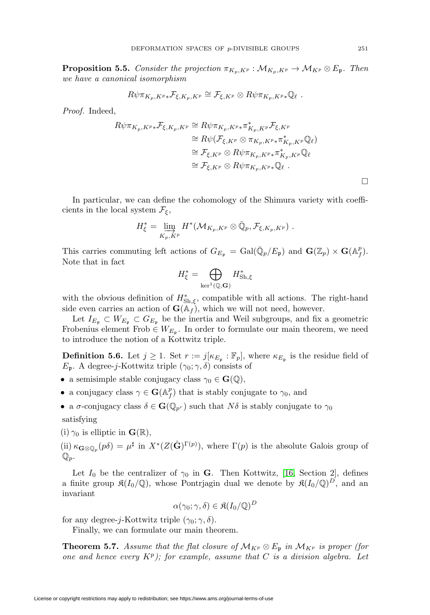<span id="page-24-1"></span>**Proposition 5.5.** Consider the projection  $\pi_{K_p,K^p}: \mathcal{M}_{K_p,K^p} \to \mathcal{M}_{K^p} \otimes E_{\mathfrak{p}}$ . Then we have a canonical isomorphism

$$
R\psi\pi_{K_p,K^p*}\mathcal{F}_{\xi,K_p,K^p}\cong \mathcal{F}_{\xi,K^p}\otimes R\psi\pi_{K_p,K^p*}\mathbb{Q}_{\ell}.
$$

Proof. Indeed,

$$
R\psi\pi_{K_p,K^p*}\mathcal{F}_{\xi,K_p,K^p} \cong R\psi\pi_{K_p,K^p*}\pi_{K_p,K^p}^*\mathcal{F}_{\xi,K^p}
$$
  
\n
$$
\cong R\psi(\mathcal{F}_{\xi,K^p} \otimes \pi_{K_p,K^p*}\pi_{K_p,K^p}^*\mathbb{Q}_\ell)
$$
  
\n
$$
\cong \mathcal{F}_{\xi,K^p} \otimes R\psi\pi_{K_p,K^p*}\pi_{K_p,K^p}^*\mathbb{Q}_\ell
$$
  
\n
$$
\cong \mathcal{F}_{\xi,K^p} \otimes R\psi\pi_{K_p,K^p*}\mathbb{Q}_\ell.
$$

In particular, we can define the cohomology of the Shimura variety with coefficients in the local system  $\mathcal{F}_{\xi}$ ,

$$
H_{\xi}^* = \varinjlim_{K_p, K^p} H^*({\mathcal M}_{K_p, K^p} \otimes \bar{\mathbb Q}_p, {\mathcal F}_{\xi, K_p, K^p}) \ .
$$

This carries commuting left actions of  $G_{E_{\mathfrak{p}}} = \text{Gal}(\bar{\mathbb{Q}}_p/E_{\mathfrak{p}})$  and  $\mathbf{G}(\mathbb{Z}_p) \times \mathbf{G}(\mathbb{A}_f^p)$ . Note that in fact

$$
H_{\xi}^* = \bigoplus_{\ker^1(\mathbb{Q},\mathbf{G})} H_{\text{Sh},\xi}^*
$$

with the obvious definition of  $H^*_{\text{Sh},\xi}$ , compatible with all actions. The right-hand side even carries an action of  $\mathbf{G}(\mathbb{A}_f)$ , which we will not need, however.

Let  $I_{E_p} \subset W_{E_p} \subset G_{E_p}$  be the inertia and Weil subgroups, and fix a geometric Frobenius element Frob  $\in W_{E_{\mathfrak{p}}}$ . In order to formulate our main theorem, we need to introduce the notion of a Kottwitz triple.

<span id="page-24-2"></span>**Definition 5.6.** Let  $j \geq 1$ . Set  $r := j[\kappa_{E_p} : \mathbb{F}_p]$ , where  $\kappa_{E_p}$  is the residue field of  $E_p$ . A degree-j-Kottwitz triple  $(\gamma_0; \gamma, \delta)$  consists of

- a semisimple stable conjugacy class  $\gamma_0 \in \mathbf{G}(\mathbb{Q}),$
- a conjugacy class  $\gamma \in \mathbf{G}(\mathbb{A}_f^p)$  that is stably conjugate to  $\gamma_0$ , and

• a  $\sigma$ -conjugacy class  $\delta \in \mathbf{G}(\mathbb{Q}_{p^r})$  such that  $N\delta$  is stably conjugate to  $\gamma_0$ 

satisfying

(i)  $\gamma_0$  is elliptic in  $\mathbf{G}(\mathbb{R}),$ 

 $(ii) \kappa_{\mathbf{G} \otimes \mathbb{Q}_p}(p\delta) = \mu^{\sharp}$  in  $X^*(Z(\hat{\mathbf{G}})^{\Gamma(p)})$ , where  $\Gamma(p)$  is the absolute Galois group of  $\mathbb{Q}_p$ .

Let  $I_0$  be the centralizer of  $\gamma_0$  in **G**. Then Kottwitz, [\[16,](#page-32-14) Section 2], defines a finite group  $\mathfrak{K}(I_0/\mathbb{Q})$ , whose Pontrjagin dual we denote by  $\mathfrak{K}(I_0/\mathbb{Q})^D$ , and an invariant

$$
\alpha(\gamma_0; \gamma, \delta) \in \mathfrak{K}(I_0/\mathbb{Q})^D
$$

for any degree-j-Kottwitz triple  $(\gamma_0; \gamma, \delta)$ .

Finally, we can formulate our main theorem.

<span id="page-24-0"></span>**Theorem 5.7.** Assume that the flat closure of  $\mathcal{M}_{K^p} \otimes E_p$  in  $\mathcal{M}_{K^p}$  is proper (for one and hence every  $K^p$ ); for example, assume that C is a division algebra. Let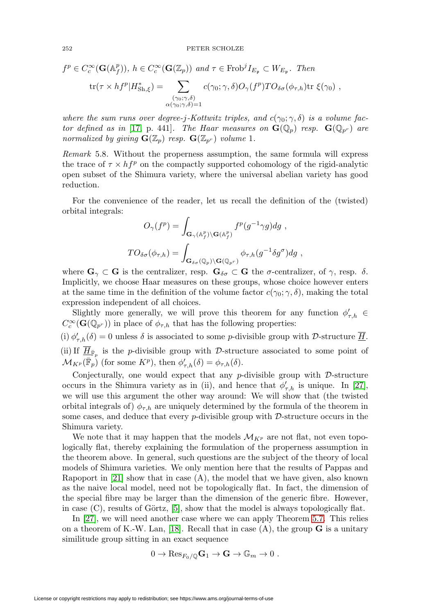$$
f^{p} \in C_{c}^{\infty}(\mathbf{G}(\mathbb{A}_{f}^{p})), h \in C_{c}^{\infty}(\mathbf{G}(\mathbb{Z}_{p})) \text{ and } \tau \in \text{Frob}^{j}I_{E_{\mathfrak{p}}} \subset W_{E_{\mathfrak{p}}}.
$$
 Then  
\n
$$
\text{tr}(\tau \times hf^{p}|H_{\text{Sh},\xi}^{*}) = \sum_{\substack{(\gamma_{0};\gamma,\delta) \\ \alpha(\gamma_{0};\gamma,\delta)=1}} c(\gamma_{0};\gamma,\delta)O_{\gamma}(f^{p})TO_{\delta\sigma}(\phi_{\tau,h})\text{tr }\xi(\gamma_{0}),
$$

where the sum runs over degree-j-Kottwitz triples, and  $c(\gamma_0; \gamma, \delta)$  is a volume fac-tor defined as in [\[17,](#page-32-6) p. 441]. The Haar measures on  $\mathbf{G}(\mathbb{Q}_p)$  resp.  $\mathbf{G}(\mathbb{Q}_{p^r})$  are normalized by giving  $\mathbf{G}(\mathbb{Z}_p)$  resp.  $\mathbf{G}(\mathbb{Z}_{p^r})$  volume 1.

Remark 5.8. Without the properness assumption, the same formula will express the trace of  $\tau \times h f^p$  on the compactly supported cohomology of the rigid-analytic open subset of the Shimura variety, where the universal abelian variety has good reduction.

For the convenience of the reader, let us recall the definition of the (twisted) orbital integrals:

$$
O_{\gamma}(f^{p}) = \int_{\mathbf{G}_{\gamma}(\mathbb{A}_{f}^{p})\backslash\mathbf{G}(\mathbb{A}_{f}^{p})} f^{p}(g^{-1}\gamma g) dg ,
$$
  

$$
TO_{\delta\sigma}(\phi_{\tau,h}) = \int_{\mathbf{G}_{\delta\sigma}(\mathbb{Q}_{p})\backslash\mathbf{G}(\mathbb{Q}_{p}r)} \phi_{\tau,h}(g^{-1}\delta g^{\sigma}) dg ,
$$

where  $\mathbf{G}_{\gamma} \subset \mathbf{G}$  is the centralizer, resp.  $\mathbf{G}_{\delta\sigma} \subset \mathbf{G}$  the  $\sigma$ -centralizer, of  $\gamma$ , resp.  $\delta$ . Implicitly, we choose Haar measures on these groups, whose choice however enters at the same time in the definition of the volume factor  $c(\gamma_0; \gamma, \delta)$ , making the total expression independent of all choices.

Slightly more generally, we will prove this theorem for any function  $\phi'_{\tau,h}$  $C_c^{\infty}(\mathbf{G}(\mathbb{Q}_{p^r}))$  in place of  $\phi_{\tau,h}$  that has the following properties: (i)  $\phi_{\tau,h}'(\delta) = 0$  unless  $\delta$  is associated to some *p*-divisible group with *D*-structure <u>H</u>.

(ii) If  $\overline{H}_{\overline{\mathbb{F}}_n}$  is the *p*-divisible group with *D*-structure associated to some point of  $\mathcal{M}_{K^p}(\overline{\mathbb{F}}_p)$  (for some  $K^p$ ), then  $\phi'_{\tau,h}(\delta) = \phi_{\tau,h}(\delta)$ .

Conjecturally, one would expect that any  $p$ -divisible group with  $\mathcal{D}$ -structure occurs in the Shimura variety as in (ii), and hence that  $\phi'_{\tau,h}$  is unique. In [\[27\]](#page-32-1), we will use this argument the other way around: We will show that (the twisted orbital integrals of)  $\phi_{\tau,h}$  are uniquely determined by the formula of the theorem in some cases, and deduce that every  $p$ -divisible group with  $\mathcal{D}$ -structure occurs in the Shimura variety.

We note that it may happen that the models  $\mathcal{M}_{K^p}$  are not flat, not even topologically flat, thereby explaining the formulation of the properness assumption in the theorem above. In general, such questions are the subject of the theory of local models of Shimura varieties. We only mention here that the results of Pappas and Rapoport in  $[21]$  show that in case  $(A)$ , the model that we have given, also known as the naive local model, need not be topologically flat. In fact, the dimension of the special fibre may be larger than the dimension of the generic fibre. However, in case  $(C)$ , results of Görtz, [\[5\]](#page-31-12), show that the model is always topologically flat.

In [\[27\]](#page-32-1), we will need another case where we can apply Theorem [5.7.](#page-24-0) This relies on a theorem of K.-W. Lan, [\[18\]](#page-32-18). Recall that in case (A), the group **G** is a unitary similitude group sitting in an exact sequence

$$
0 \to \mathrm{Res}_{F_0/\mathbb{Q}} \mathbf{G}_1 \to \mathbf{G} \to \mathbb{G}_m \to 0 .
$$

License or copyright restrictions may apply to redistribution; see https://www.ams.org/journal-terms-of-use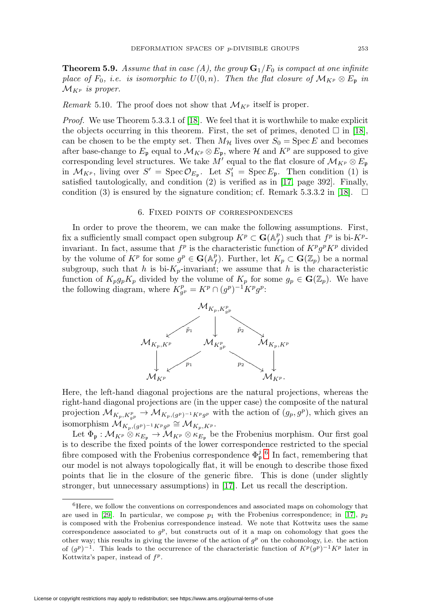**Theorem 5.9.** Assume that in case (A), the group  $\mathbf{G}_1/F_0$  is compact at one infinite place of  $F_0$ , i.e. is isomorphic to  $U(0, n)$ . Then the flat closure of  $\mathcal{M}_{K^p} \otimes E_{\mathfrak{p}}$  in  $\mathcal{M}_{K^p}$  is proper.

Remark 5.10. The proof does not show that  $\mathcal{M}_{K^p}$  itself is proper.

Proof. We use Theorem 5.3.3.1 of [\[18\]](#page-32-18). We feel that it is worthwhile to make explicit the objects occurring in this theorem. First, the set of primes, denoted  $\square$  in [\[18\]](#page-32-18), can be chosen to be the empty set. Then  $M_{\mathcal{H}}$  lives over  $S_0 = \text{Spec } E$  and becomes after base-change to  $E_p$  equal to  $\mathcal{M}_{K^p} \otimes E_p$ , where  $\mathcal{H}$  and  $K^p$  are supposed to give corresponding level structures. We take M' equal to the flat closure of  $\mathcal{M}_{K^p} \otimes E_{\mathfrak{p}}$ in  $\mathcal{M}_{K^p}$ , living over  $S' = \text{Spec } \mathcal{O}_{E_{\mathfrak{p}}}$ . Let  $S'_1 = \text{Spec } E_{\mathfrak{p}}$ . Then condition (1) is satisfied tautologically, and condition (2) is verified as in [\[17,](#page-32-6) page 392]. Finally, condition (3) is ensured by the signature condition; cf. Remark 5.3.3.2 in [\[18\]](#page-32-18).  $\Box$ 

### 6. Fixed points of correspondences

<span id="page-26-0"></span>In order to prove the theorem, we can make the following assumptions. First, fix a sufficiently small compact open subgroup  $K^p \subset \mathbf{G}(\mathbb{A}_f^p)$  such that  $f^p$  is bi- $K^p$ invariant. In fact, assume that  $f^p$  is the characteristic function of  $K^p g^p K^p$  divided by the volume of  $K^p$  for some  $g^p \in \mathbf{G}(\mathbb{A}_f^p)$ . Further, let  $K_p \subset \mathbf{G}(\mathbb{Z}_p)$  be a normal subgroup, such that h is bi- $K_p$ -invariant; we assume that h is the characteristic function of  $K_p g_p K_p$  divided by the volume of  $K_p$  for some  $g_p \in \mathbf{G}(\mathbb{Z}_p)$ . We have the following diagram, where  $K_{g^p}^p = K^p \cap (g^p)^{-1} K^p g^p$ :



Here, the left-hand diagonal projections are the natural projections, whereas the right-hand diagonal projections are (in the upper case) the composite of the natural projection  $\mathcal{M}_{K_p,K_{g^p}^p} \to \mathcal{M}_{K_p,(g^p)^{-1}K^p g^p}$  with the action of  $(g_p, g^p)$ , which gives an isomorphism  $\mathcal{M}_{K_p,(q^p)^{-1}K^p,q^p} \cong \mathcal{M}_{K_p,K^p}.$ 

Let  $\Phi_{\mathfrak{p}}: \mathcal{M}_{K^p} \otimes \kappa_{E_{\mathfrak{p}}} \to \mathcal{M}_{K^p} \otimes \kappa_{E_{\mathfrak{p}}}$  be the Frobenius morphism. Our first goal is to describe the fixed points of the lower correspondence restricted to the special fibre composed with the Frobenius correspondence  $\Phi_{\mathfrak{p}}^{j.6}$  $\Phi_{\mathfrak{p}}^{j.6}$  $\Phi_{\mathfrak{p}}^{j.6}$  In fact, remembering that our model is not always topologically flat, it will be enough to describe those fixed points that lie in the closure of the generic fibre. This is done (under slightly stronger, but unnecessary assumptions) in [\[17\]](#page-32-6). Let us recall the description.

<span id="page-26-1"></span> $6$ Here, we follow the conventions on correspondences and associated maps on cohomology that are used in [\[29\]](#page-32-19). In particular, we compose  $p_1$  with the Frobenius correspondence; in [\[17\]](#page-32-6),  $p_2$ is composed with the Frobenius correspondence instead. We note that Kottwitz uses the same correspondence associated to  $g^p$ , but constructs out of it a map on cohomology that goes the other way; this results in giving the inverse of the action of  $g<sup>p</sup>$  on the cohomology, i.e. the action of  $(g<sup>p</sup>)<sup>-1</sup>$ . This leads to the occurrence of the characteristic function of  $K<sup>p</sup>(g<sup>p</sup>)<sup>-1</sup>K<sup>p</sup>$  later in Kottwitz's paper, instead of  $f^p$ .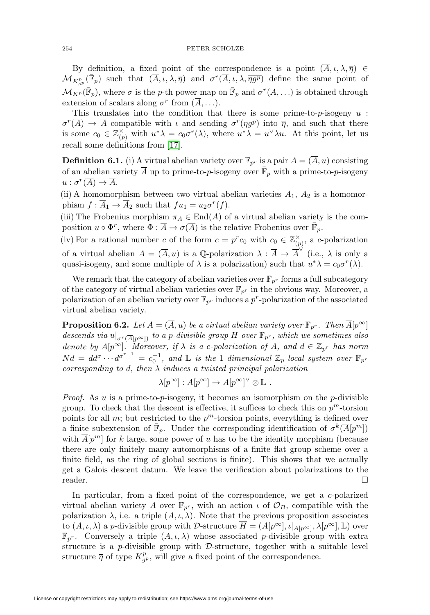By definition, a fixed point of the correspondence is a point  $(\overline{A}, \iota, \lambda, \overline{\eta}) \in$  $\mathcal{M}_{K_{g^p}^p}(\bar{\mathbb{F}}_p)$  such that  $(\overline{A},\iota,\lambda,\overline{\eta})$  and  $\sigma^r(\overline{A},\iota,\lambda,\overline{\eta g^p})$  define the same point of  $\mathcal{M}_{K^p}(\bar{\mathbb{F}}_p)$ , where  $\sigma$  is the p-th power map on  $\bar{\mathbb{F}}_p$  and  $\sigma^r(\overline{A}, \ldots)$  is obtained through extension of scalars along  $\sigma^r$  from  $(\overline{A}, \ldots)$ .

This translates into the condition that there is some prime-to- $p$ -isogeny  $u$ :  $\sigma^r(A) \to A$  compatible with  $\iota$  and sending  $\sigma^r(\overline{\eta g^p})$  into  $\overline{\eta}$ , and such that there is some  $c_0 \in \mathbb{Z}_{(p)}^{\times}$  with  $u^*\lambda = c_0\sigma^r(\lambda)$ , where  $u^*\lambda = u^{\vee}\lambda u$ . At this point, let us recall some definitions from [\[17\]](#page-32-6).

**Definition 6.1.** (i) A virtual abelian variety over  $\mathbb{F}_{p^r}$  is a pair  $A = (\overline{A}, u)$  consisting of an abelian variety  $\overline{A}$  up to prime-to-p-isogeny over  $\overline{\mathbb{F}}_p$  with a prime-to-p-isogeny  $u : \sigma^r(\overline{A}) \to \overline{A}.$ 

(ii) A homomorphism between two virtual abelian varieties  $A_1$ ,  $A_2$  is a homomorphism  $f : \overline{A}_1 \to \overline{A}_2$  such that  $fu_1 = u_2 \sigma^r(f)$ .

(iii) The Frobenius morphism  $\pi_A \in \text{End}(A)$  of a virtual abelian variety is the composition  $u \circ \Phi^r$ , where  $\Phi : \overline{A} \to \sigma(\overline{A})$  is the relative Frobenius over  $\mathbb{F}_p$ .

(iv) For a rational number c of the form  $c = p^r c_0$  with  $c_0 \in \mathbb{Z}_{(p)}^{\times}$ , a c-polarization of a virtual abelian  $A = (\overline{A}, u)$  is a Q-polarization  $\lambda : \overline{A} \to \overline{A}^{\vee}$  (i.e.,  $\lambda$  is only a quasi-isogeny, and some multiple of  $\lambda$  is a polarization) such that  $u^*\lambda = c_0\sigma^r(\lambda)$ .

We remark that the category of abelian varieties over  $\mathbb{F}_{p^r}$  forms a full subcategory of the category of virtual abelian varieties over  $\mathbb{F}_{p^r}$  in the obvious way. Moreover, a polarization of an abelian variety over  $\mathbb{F}_{p^r}$  induces a  $p^r$ -polarization of the associated virtual abelian variety.

<span id="page-27-0"></span>**Proposition 6.2.** Let  $A = (\overline{A}, u)$  be a virtual abelian variety over  $\mathbb{F}_{p^r}$ . Then  $\overline{A}[p^{\infty}]$ descends via  $u|_{\sigma^r(\overline{A}[p^\infty])}$  to a p-divisible group H over  $\mathbb{F}_{p^r}$ , which we sometimes also denote by  $A[p^{\infty}]$ . Moreover, if  $\lambda$  is a c-polarization of A, and  $d \in \mathbb{Z}_{p^r}$  has norm  $Nd = dd^{\sigma} \cdots d^{\sigma^{r-1}} = c_0^{-1}$ , and L is the 1-dimensional  $\mathbb{Z}_p$ -local system over  $\mathbb{F}_{p^r}$ corresponding to d, then  $\lambda$  induces a twisted principal polarization

$$
\lambda[p^{\infty}] : A[p^{\infty}] \to A[p^{\infty}]^{\vee} \otimes \mathbb{L} .
$$

*Proof.* As u is a prime-to-p-isogeny, it becomes an isomorphism on the p-divisible group. To check that the descent is effective, it suffices to check this on  $p^m$ -torsion points for all  $m$ ; but restricted to the  $p<sup>m</sup>$ -torsion points, everything is defined over a finite subextension of  $\mathbb{F}_p$ . Under the corresponding identification of  $\sigma^k(A[p^m])$ with  $A[p^m]$  for k large, some power of u has to be the identity morphism (because there are only finitely many automorphisms of a finite flat group scheme over a finite field, as the ring of global sections is finite). This shows that we actually get a Galois descent datum. We leave the verification about polarizations to the reader.  $\Box$ 

In particular, from a fixed point of the correspondence, we get a c-polarized virtual abelian variety A over  $\mathbb{F}_{p^r}$ , with an action  $\iota$  of  $\mathcal{O}_B$ , compatible with the polarization  $\lambda$ , i.e. a triple  $(A, \iota, \lambda)$ . Note that the previous proposition associates to  $(A, \iota, \lambda)$  a p-divisible group with D-structure  $\overline{\underline{H}} = (A[p^{\infty}], \iota|_{A[p^{\infty}]}, \lambda[p^{\infty}], \mathbb{L})$  over  $\mathbb{F}_{p^r}$ . Conversely a triple  $(A, \iota, \lambda)$  whose associated p-divisible group with extra structure is a p-divisible group with  $\mathcal{D}$ -structure, together with a suitable level structure  $\overline{\eta}$  of type  $K_{g^p}^p$ , will give a fixed point of the correspondence.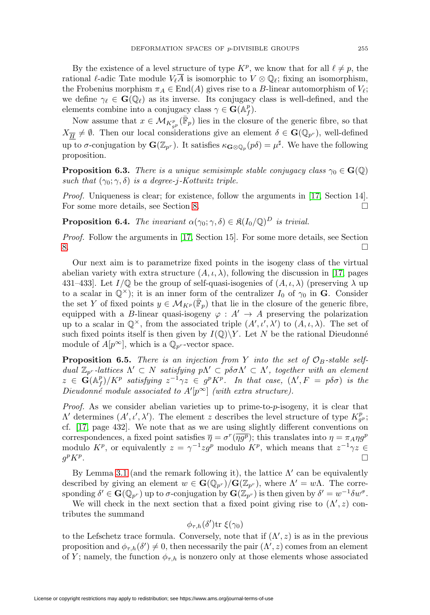By the existence of a level structure of type  $K^p$ , we know that for all  $\ell \neq p$ , the rational  $\ell$ -adic Tate module  $V_{\ell}A$  is isomorphic to  $V \otimes \mathbb{Q}_{\ell}$ ; fixing an isomorphism, the Frobenius morphism  $\pi_A \in \text{End}(A)$  gives rise to a B-linear automorphism of  $V_{\ell}$ ; we define  $\gamma_{\ell} \in \mathbf{G}(\mathbb{Q}_{\ell})$  as its inverse. Its conjugacy class is well-defined, and the elements combine into a conjugacy class  $\gamma \in \mathbf{G}(\mathbb{A}_f^p)$ .

Now assume that  $x \in M_{K^p_{g^p}}(\bar{\mathbb{F}}_p)$  lies in the closure of the generic fibre, so that  $X_{\overline{H}} \neq \emptyset$ . Then our local considerations give an element  $\delta \in \mathbf{G}(\mathbb{Q}_{p^r})$ , well-defined up to  $\sigma$ -conjugation by  $\mathbf{G}(\mathbb{Z}_{p^r})$ . It satisfies  $\kappa_{\mathbf{G}\otimes\mathbb{Q}_p}(p\delta)=\mu^{\sharp}$ . We have the following proposition.

**Proposition 6.3.** There is a unique semisimple stable conjugacy class  $\gamma_0 \in \mathbf{G}(\mathbb{Q})$ such that  $(\gamma_0; \gamma, \delta)$  is a degree-j-Kottwitz triple.

Proof. Uniqueness is clear; for existence, follow the arguments in [\[17,](#page-32-6) Section 14]. For some more details, see Section [8.](#page-31-0)  $\Box$ 

**Proposition 6.4.** The invariant  $\alpha(\gamma_0; \gamma, \delta) \in \mathfrak{K}(I_0/\mathbb{Q})^D$  is trivial.

Proof. Follow the arguments in [\[17,](#page-32-6) Section 15]. For some more details, see Section  $8.$  $\Box$ 

Our next aim is to parametrize fixed points in the isogeny class of the virtual abelian variety with extra structure  $(A, \iota, \lambda)$ , following the discussion in [\[17,](#page-32-6) pages 431–433]. Let  $I/\mathbb{Q}$  be the group of self-quasi-isogenies of  $(A, \iota, \lambda)$  (preserving  $\lambda$  up to a scalar in  $\mathbb{Q}^{\times}$ ); it is an inner form of the centralizer  $I_0$  of  $\gamma_0$  in **G**. Consider the set Y of fixed points  $y \in \mathcal{M}_{K^p}(\mathbb{F}_p)$  that lie in the closure of the generic fibre, equipped with a B-linear quasi-isogeny  $\varphi : A' \to A$  preserving the polarization up to a scalar in  $\mathbb{Q}^{\times}$ , from the associated triple  $(A', \iota', \lambda')$  to  $(A, \iota, \lambda)$ . The set of such fixed points itself is then given by  $I(\mathbb{Q})\Y$ . Let N be the rational Dieudonné module of  $A[p^{\infty}]$ , which is a  $\mathbb{Q}_{p^r}$ -vector space.

**Proposition 6.5.** There is an injection from Y into the set of  $\mathcal{O}_B$ -stable selfdual  $\mathbb{Z}_{p^r}$ -lattices  $Λ' ⊂ N$  satisfying  $pΛ' ⊂ pδσΛ' ⊂ Λ'$ , together with an element  $z \in \mathbf{G}(\mathbb{A}_f^p)/K^p$  satisfying  $z^{-1}\gamma z \in g^pK^p$ . In that case,  $(\Lambda', F = p\delta\sigma)$  is the Dieudonné module associated to  $A'[p^{\infty}]$  (with extra structure).

Proof. As we consider abelian varieties up to prime-to-p-isogeny, it is clear that Λ' determines  $(A', \iota', \lambda')$ . The element z describes the level structure of type  $K_{g}^p$ ; cf. [\[17,](#page-32-6) page 432]. We note that as we are using slightly different conventions on correspondences, a fixed point satisfies  $\overline{\eta} = \sigma^r(\overline{\eta g^p})$ ; this translates into  $\eta = \pi_A \eta g^p$ modulo  $K^p$ , or equivalently  $z = \gamma^{-1}zg^p$  modulo  $K^p$ , which means that  $z^{-1}\gamma z \in$  $g^pK^p$ .  $\Box$ 

By Lemma [3.1](#page-10-0) (and the remark following it), the lattice  $\Lambda'$  can be equivalently described by giving an element  $w \in \mathbf{G}(\mathbb{Q}_{p^r})/\mathbf{G}(\mathbb{Z}_{p^r})$ , where  $\Lambda' = w\Lambda$ . The corresponding  $\delta' \in \mathbf{G}(\mathbb{Q}_{p^r})$  up to  $\sigma$ -conjugation by  $\mathbf{G}(\mathbb{Z}_{p^r})$  is then given by  $\delta' = w^{-1}\delta w^{\sigma}$ .

We will check in the next section that a fixed point giving rise to  $(\Lambda', z)$  contributes the summand

$$
\phi_{\tau,h}(\delta')\mathrm{tr}\ \xi(\gamma_0)
$$

to the Lefschetz trace formula. Conversely, note that if  $(\Lambda', z)$  is as in the previous proposition and  $\phi_{\tau,h}(\delta') \neq 0$ , then necessarily the pair  $(\Lambda', z)$  comes from an element of Y; namely, the function  $\phi_{\tau,h}$  is nonzero only at those elements whose associated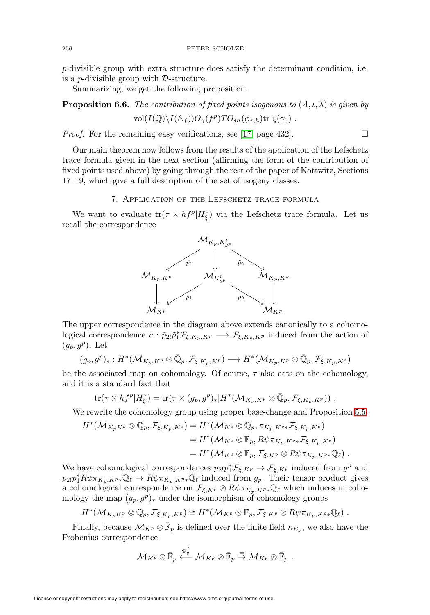p-divisible group with extra structure does satisfy the determinant condition, i.e. is a p-divisible group with D-structure.

Summarizing, we get the following proposition.

**Proposition 6.6.** The contribution of fixed points isogenous to  $(A, \iota, \lambda)$  is given by  $vol(I(\mathbb{Q})\backslash I(\mathbb{A}_f))O_{\gamma}(f^p)TO_{\delta\sigma}(\phi_{\tau,h})$ tr  $\xi(\gamma_0)$ .

 $\Box$ 

Proof. For the remaining easy verifications, see [\[17,](#page-32-6) page 432].

Our main theorem now follows from the results of the application of the Lefschetz trace formula given in the next section (affirming the form of the contribution of fixed points used above) by going through the rest of the paper of Kottwitz, Sections 17–19, which give a full description of the set of isogeny classes.

# 7. Application of the Lefschetz trace formula

<span id="page-29-0"></span>We want to evaluate  $\text{tr}(\tau \times h f^p | H^*_{\xi})$  via the Lefschetz trace formula. Let us recall the correspondence



The upper correspondence in the diagram above extends canonically to a cohomological correspondence  $u : \tilde{p}_{2l}\tilde{p}_1^*\mathcal{F}_{\xi,K_p,K^p} \longrightarrow \mathcal{F}_{\xi,K_p,K^p}$  induced from the action of  $(g_p, g^p)$ . Let

$$
(g_p,g^p)_*: H^*(\mathcal{M}_{K_p,K^p} \otimes \bar{\mathbb{Q}}_p, \mathcal{F}_{\xi,K_p,K^p}) \longrightarrow H^*(\mathcal{M}_{K_p,K^p} \otimes \bar{\mathbb{Q}}_p, \mathcal{F}_{\xi,K_p,K^p})
$$

be the associated map on cohomology. Of course,  $\tau$  also acts on the cohomology, and it is a standard fact that

$$
\text{tr}(\tau \times h f^p | H_\xi^*) = \text{tr}(\tau \times (g_p, g^p)_* | H^* (\mathcal{M}_{K_p, K^p} \otimes \overline{\mathbb{Q}}_p, \mathcal{F}_{\xi, K_p, K^p})) \ .
$$

We rewrite the cohomology group using proper base-change and Proposition [5.5:](#page-24-1)

$$
H^*(\mathcal{M}_{K_pK^p} \otimes \bar{\mathbb{Q}}_p, \mathcal{F}_{\xi, K_p, K^p}) = H^*(\mathcal{M}_{K^p} \otimes \bar{\mathbb{Q}}_p, \pi_{K_p, K^p *} \mathcal{F}_{\xi, K_p, K^p})
$$
  
=  $H^*(\mathcal{M}_{K^p} \otimes \bar{\mathbb{F}}_p, R\psi \pi_{K_p, K^p *} \mathcal{F}_{\xi, K_p, K^p})$   
=  $H^*(\mathcal{M}_{K^p} \otimes \bar{\mathbb{F}}_p, \mathcal{F}_{\xi, K^p} \otimes R\psi \pi_{K_p, K^p *} \mathbb{Q}_\ell).$ 

We have cohomological correspondences  $p_{2!}p_1^* \mathcal{F}_{\xi,K^p} \to \mathcal{F}_{\xi,K^p}$  induced from  $g^p$  and  $p_{2!}p_1^*R\psi\pi_{K_p,K^p*}\mathbb{Q}_\ell \to R\psi\pi_{K_p,K^p*}\mathbb{Q}_\ell$  induced from  $g_p$ . Their tensor product gives a cohomological correspondence on  $\mathcal{F}_{\xi,K^p} \otimes R\psi \pi_{K_p,K^p*}\mathbb{Q}_\ell$  which induces in cohomology the map  $(g_p, g^p)_*$  under the isomorphism of cohomology groups

$$
H^*(\mathcal{M}_{K_pK^p} \otimes \bar{\mathbb{Q}}_p, \mathcal{F}_{\xi,K_p,K^p}) \cong H^*(\mathcal{M}_{K^p} \otimes \bar{\mathbb{F}}_p, \mathcal{F}_{\xi,K^p} \otimes R\psi \pi_{K_p,K^p*} \mathbb{Q}_\ell) \; .
$$

Finally, because  $\mathcal{M}_{K^p} \otimes \bar{\mathbb{F}}_p$  is defined over the finite field  $\kappa_{E_p}$ , we also have the Frobenius correspondence

$$
\mathcal{M}_{K^p} \otimes \bar{\mathbb{F}}_p \stackrel{\Phi^j_p}{\longleftarrow} \mathcal{M}_{K^p} \otimes \bar{\mathbb{F}}_p \stackrel{=}{\rightarrow} \mathcal{M}_{K^p} \otimes \bar{\mathbb{F}}_p \;.
$$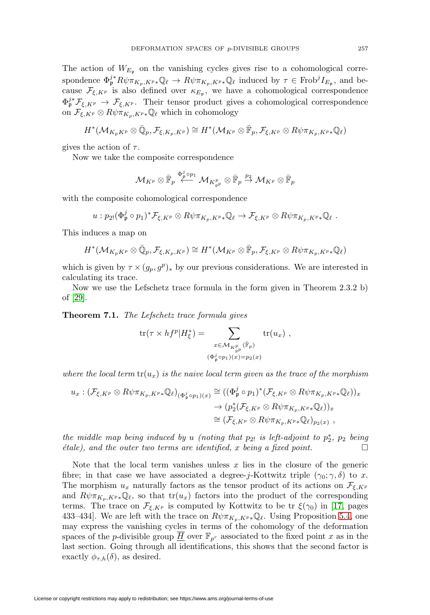The action of  $W_{E_p}$  on the vanishing cycles gives rise to a cohomological correspondence  $\Phi_{\mathfrak{p}}^{j*} R \psi \pi_{K_p, K^p*} \mathbb{Q}_{\ell} \to R \psi \pi_{K_p, K^p*} \mathbb{Q}_{\ell}$  induced by  $\tau \in \text{Frob}^j I_{E_{\mathfrak{p}}},$  and because  $\mathcal{F}_{\xi,K^p}$  is also defined over  $\kappa_{E_p}$ , we have a cohomological correspondence  $\Phi_{\mathfrak{p}}^{j*} \mathcal{F}_{\xi,K^p} \to \mathcal{F}_{\xi,K^p}$ . Their tensor product gives a cohomological correspondence on  $\mathcal{F}_{\xi,K^p} \otimes R\psi \pi_{K_p,K^p*}\mathbb{Q}_\ell$  which in cohomology

$$
H^*(\mathcal{M}_{K_pK^p} \otimes \bar{\mathbb{Q}}_p, \mathcal{F}_{\xi,K_p,K^p}) \cong H^*(\mathcal{M}_{K^p} \otimes \bar{\mathbb{F}}_p, \mathcal{F}_{\xi,K^p} \otimes R\psi\pi_{K_p,K^p*}\mathbb{Q}_\ell)
$$

gives the action of  $\tau$ .

Now we take the composite correspondence

$$
\mathcal{M}_{K^p} \otimes \bar{\mathbb{F}}_p \overset{\Phi^j_p \circ p_1}{\longleftarrow} \mathcal{M}_{K^p_{g^p}} \otimes \bar{\mathbb{F}}_p \overset{p_2}{\rightarrow} \mathcal{M}_{K^p} \otimes \bar{\mathbb{F}}_p
$$

with the composite cohomological correspondence

$$
u: p_{2!}(\Phi_{\mathfrak{p}}^{j} \circ p_{1})^{*}\mathcal{F}_{\xi,K^{p}} \otimes R\psi \pi_{K_{p},K^{p}} \mathbb{Q}_{\ell} \to \mathcal{F}_{\xi,K^{p}} \otimes R\psi \pi_{K_{p},K^{p}} \mathbb{Q}_{\ell}.
$$

This induces a map on

$$
H^*(\mathcal{M}_{K_pK^p} \otimes \bar{\mathbb{Q}}_p, \mathcal{F}_{\xi,K_p,K^p}) \cong H^*(\mathcal{M}_{K^p} \otimes \bar{\mathbb{F}}_p, \mathcal{F}_{\xi,K^p} \otimes R\psi \pi_{K_p,K^p*} \mathbb{Q}_\ell)
$$

which is given by  $\tau \times (g_p, g^p)_*$  by our previous considerations. We are interested in calculating its trace.

Now we use the Lefschetz trace formula in the form given in Theorem 2.3.2 b) of [\[29\]](#page-32-19).

**Theorem 7.1.** The Lefschetz trace formula gives

$$
\text{tr}(\tau \times h f^p | H^*_{\xi}) = \sum_{\substack{x \in \mathcal{M}_{K_{g^p}^p}(\overline{\mathbb{F}}_p) \\ (\Phi^j_p \circ p_1)(x) = p_2(x) }} \text{tr}(u_x) ,
$$

where the local term  $tr(u_x)$  is the naive local term given as the trace of the morphism

$$
u_x: (\mathcal{F}_{\xi,K^p} \otimes R\psi \pi_{K_p, K^{p*}} \mathbb{Q}_{\ell})_{(\Phi^j_{\mathfrak{p}} \circ p_1)(x)} \cong ((\Phi^j_{\mathfrak{p}} \circ p_1)^*(\mathcal{F}_{\xi,K^p} \otimes R\psi \pi_{K_p, K^{p*}} \mathbb{Q}_{\ell}))_x \to (p_2^*(\mathcal{F}_{\xi,K^p} \otimes R\psi \pi_{K_p, K^{p*}} \mathbb{Q}_{\ell}))_x \cong (\mathcal{F}_{\xi,K^p} \otimes R\psi \pi_{K_p, K^{p*}} \mathbb{Q}_{\ell})_{p_2(x)},
$$

the middle map being induced by u (noting that  $p_{2!}$  is left-adjoint to  $p_2^*$ ,  $p_2$  being  $\emph{\'e}tale$ ), and the outer two terms are identified, x being a fixed point.  $\Box$ 

Note that the local term vanishes unless  $x$  lies in the closure of the generic fibre; in that case we have associated a degree-j-Kottwitz triple  $(\gamma_0; \gamma, \delta)$  to x. The morphism  $u_x$  naturally factors as the tensor product of its actions on  $\mathcal{F}_{\xi,K^p}$ and  $R\psi \pi_{K_p,K^p*}\mathbb{Q}_\ell$ , so that  $tr(u_x)$  factors into the product of the corresponding terms. The trace on  $\mathcal{F}_{\xi,K^p}$  is computed by Kottwitz to be tr  $\xi(\gamma_0)$  in [\[17,](#page-32-6) pages 433–434]. We are left with the trace on  $R\psi \pi_{K_p, K^p*}\mathbb{Q}_\ell$ . Using Proposition [5.4,](#page-23-0) one may express the vanishing cycles in terms of the cohomology of the deformation spaces of the *p*-divisible group  $\underline{H}$  over  $\mathbb{F}_{p^r}$  associated to the fixed point x as in the last section. Going through all identifications, this shows that the second factor is exactly  $\phi_{\tau,h}(\delta)$ , as desired.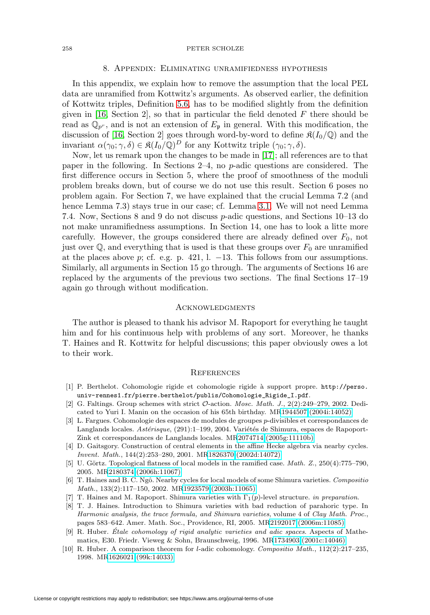## 8. Appendix: Eliminating unramifiedness hypothesis

<span id="page-31-0"></span>In this appendix, we explain how to remove the assumption that the local PEL data are unramified from Kottwitz's arguments. As observed earlier, the definition of Kottwitz triples, Definition [5.6,](#page-24-2) has to be modified slightly from the definition given in [\[16,](#page-32-14) Section 2], so that in particular the field denoted  $F$  there should be read as  $\mathbb{Q}_{p^r}$ , and is not an extension of  $E_p$  in general. With this modification, the discussion of [\[16,](#page-32-14) Section 2] goes through word-by-word to define  $\mathfrak{K}(I_0/\mathbb{Q})$  and the invariant  $\alpha(\gamma_0; \gamma, \delta) \in \mathfrak{K}(I_0/\mathbb{Q})^D$  for any Kottwitz triple  $(\gamma_0; \gamma, \delta)$ .

Now, let us remark upon the changes to be made in [\[17\]](#page-32-6); all references are to that paper in the following. In Sections 2–4, no p-adic questions are considered. The first difference occurs in Section 5, where the proof of smoothness of the moduli problem breaks down, but of course we do not use this result. Section 6 poses no problem again. For Section 7, we have explained that the crucial Lemma 7.2 (and hence Lemma 7.3) stays true in our case; cf. Lemma [3.1.](#page-10-0) We will not need Lemma 7.4. Now, Sections 8 and 9 do not discuss p-adic questions, and Sections 10–13 do not make unramifiedness assumptions. In Section 14, one has to look a litte more carefully. However, the groups considered there are already defined over  $F_0$ , not just over  $\mathbb{Q}$ , and everything that is used is that these groups over  $F_0$  are unramified at the places above p; cf. e.g. p. 421, l.  $-13$ . This follows from our assumptions. Similarly, all arguments in Section 15 go through. The arguments of Sections 16 are replaced by the arguments of the previous two sections. The final Sections 17–19 again go through without modification.

## <span id="page-31-1"></span>**ACKNOWLEDGMENTS**

The author is pleased to thank his advisor M. Rapoport for everything he taught him and for his continuous help with problems of any sort. Moreover, he thanks T. Haines and R. Kottwitz for helpful discussions; this paper obviously owes a lot to their work.

## <span id="page-31-2"></span>**REFERENCES**

- <span id="page-31-10"></span>[1] P. Berthelot. Cohomologie rigide et cohomologie rigide `a support propre. [http://perso.](http://perso.univ-rennes1.fr/pierre.berthelot/publis/Cohomologie_Rigide_I.pdf) [univ-rennes1.fr/pierre.berthelot/publis/Cohomologie\\_Rigide\\_I.pdf](http://perso.univ-rennes1.fr/pierre.berthelot/publis/Cohomologie_Rigide_I.pdf).
- <span id="page-31-4"></span>[2] G. Faltings. Group schemes with strict  $\mathcal{O}\text{-action}$ . Mosc. Math. J., 2(2):249–279, 2002. Dedicated to Yuri I. Manin on the occasion of his 65th birthday. M[R1944507 \(2004i:14052\)](http://www.ams.org/mathscinet-getitem?mr=1944507)
- <span id="page-31-11"></span>[3] L. Fargues. Cohomologie des espaces de modules de groupes p-divisibles et correspondances de Langlands locales. Astérisque, (291):1-199, 2004. Variétés de Shimura, espaces de Rapoport-Zink et correspondances de Langlands locales. M[R2074714 \(2005g:11110b\)](http://www.ams.org/mathscinet-getitem?mr=2074714)
- <span id="page-31-5"></span>[4] D. Gaitsgory. Construction of central elements in the affine Hecke algebra via nearby cycles. Invent. Math., 144(2):253–280, 2001. M[R1826370 \(2002d:14072\)](http://www.ams.org/mathscinet-getitem?mr=1826370)
- <span id="page-31-12"></span>[5] U. Görtz. Topological flatness of local models in the ramified case. *Math.*  $Z$ ,  $250(4)$ :775–790, 2005. M[R2180374 \(2006h:11067\)](http://www.ams.org/mathscinet-getitem?mr=2180374)
- <span id="page-31-6"></span>[6] T. Haines and B. C. Ngô. Nearby cycles for local models of some Shimura varieties. Compositio Math., 133(2):117–150, 2002. M[R1923579 \(2003h:11065\)](http://www.ams.org/mathscinet-getitem?mr=1923579)
- <span id="page-31-7"></span><span id="page-31-3"></span>[7] T. Haines and M. Rapoport. Shimura varieties with  $\Gamma_1(p)$ -level structure. in preparation.
- [8] T. J. Haines. Introduction to Shimura varieties with bad reduction of parahoric type. In Harmonic analysis, the trace formula, and Shimura varieties, volume 4 of Clay Math. Proc., pages 583–642. Amer. Math. Soc., Providence, RI, 2005. M[R2192017 \(2006m:11085\)](http://www.ams.org/mathscinet-getitem?mr=2192017)
- <span id="page-31-8"></span>[9] R. Huber. Etale cohomology of rigid analytic varieties and adic spaces. Aspects of Mathematics, E30. Friedr. Vieweg & Sohn, Braunschweig, 1996. M[R1734903 \(2001c:14046\)](http://www.ams.org/mathscinet-getitem?mr=1734903)
- <span id="page-31-9"></span>[10] R. Huber. A comparison theorem for *l*-adic cohomology. Compositio Math., 112(2):217-235, 1998. M[R1626021 \(99k:14033\)](http://www.ams.org/mathscinet-getitem?mr=1626021)